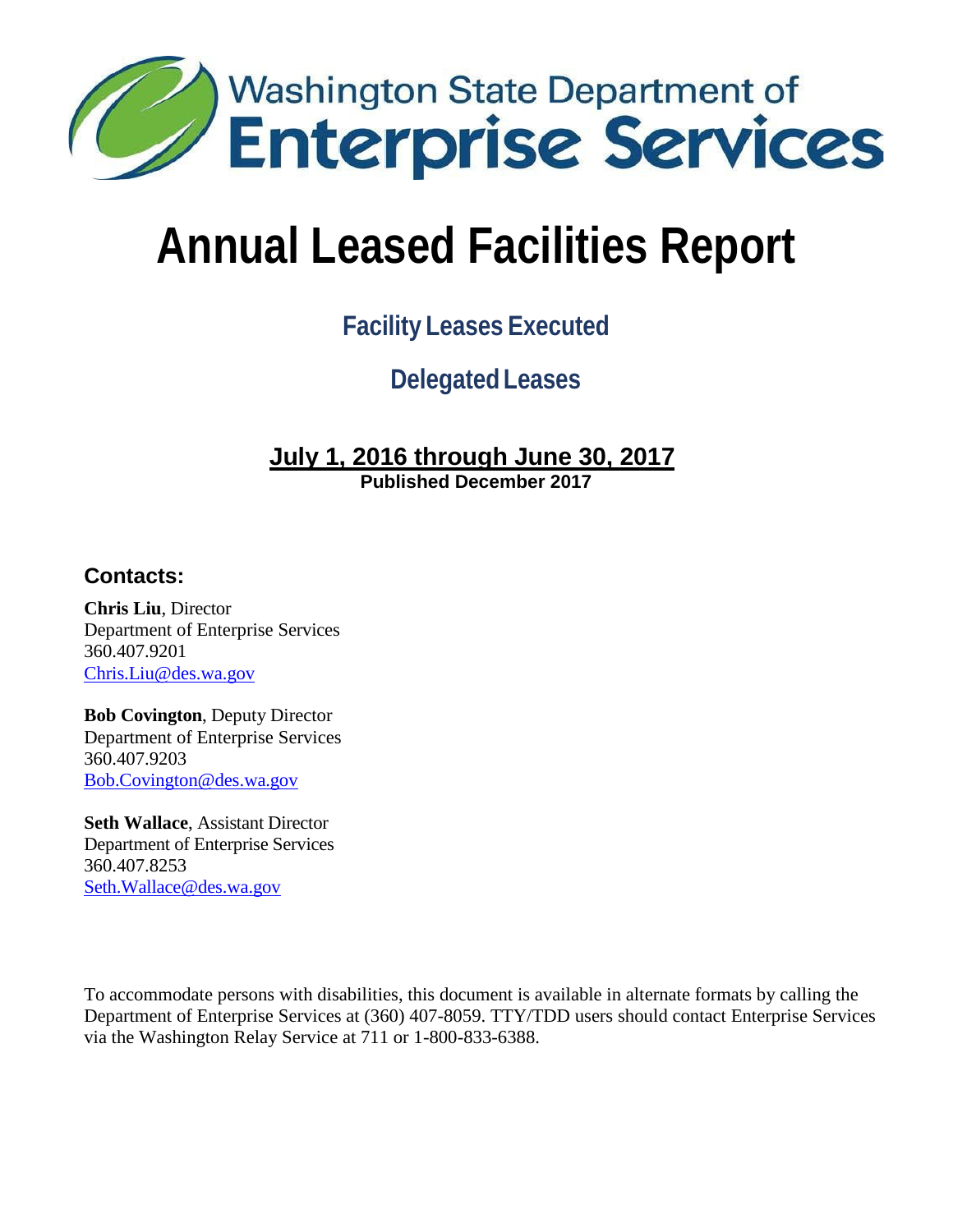

# **Facility Leases Executed**

**Delegated Leases**

# **July 1, 2016 through June 30, 2017**

**Published December 2017**

## **Contacts:**

**Chris Liu**, Director Department of Enterprise Services 360.407.9201 [Chris.Liu@des.wa.gov](mailto:Chris.Liu@des.wa.gov)

**Bob Covington**, Deputy Director Department of Enterprise Services 360.407.9203 [Bob.Covington@des.wa.gov](mailto:Bob.Covington@des.wa.gov)

**Seth Wallace**, Assistant Director Department of Enterprise Services 360.407.8253 [Seth.Wallace@des.wa.gov](mailto:Seth.Wallace@des.wa.gov)

To accommodate persons with disabilities, this document is available in alternate formats by calling the Department of Enterprise Services at (360) 407-8059. TTY/TDD users should contact Enterprise Services via the Washington Relay Service at 711 or 1-800-833-6388.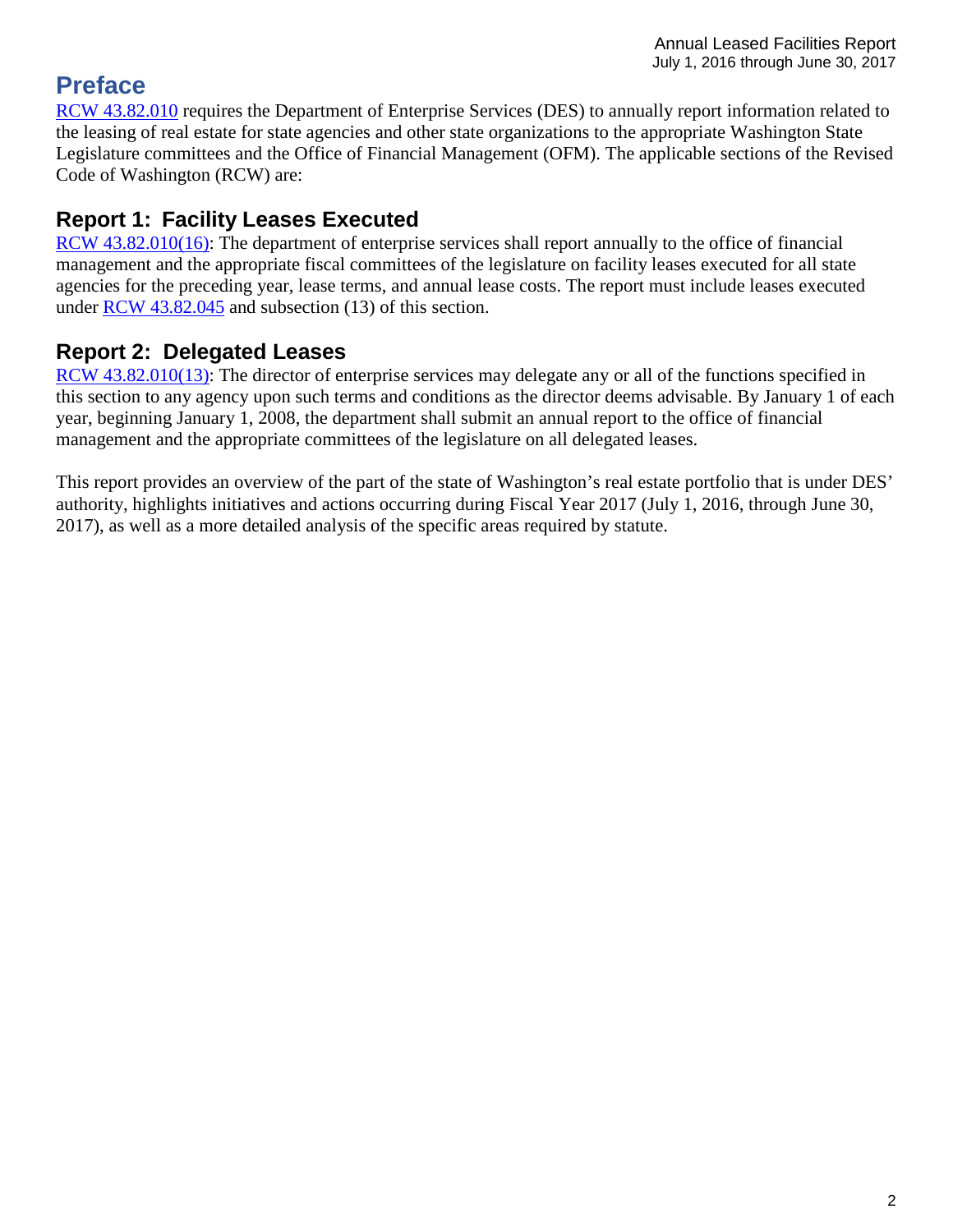# **Preface**

[RCW 43.82.010](http://apps.leg.wa.gov/rcw/default.aspx?cite=43.82.010) requires the Department of Enterprise Services (DES) to annually report information related to the leasing of real estate for state agencies and other state organizations to the appropriate Washington State Legislature committees and the Office of Financial Management (OFM). The applicable sections of the Revised Code of Washington (RCW) are:

# **Report 1: Facility Leases Executed**

[RCW 43.82.010\(16\):](http://apps.leg.wa.gov/rcw/default.aspx?cite=43.82.010) The department of enterprise services shall report annually to the office of financial management and the appropriate fiscal committees of the legislature on facility leases executed for all state agencies for the preceding year, lease terms, and annual lease costs. The report must include leases executed under [RCW 43.82.045](http://apps.leg.wa.gov/rcw/default.aspx?cite=43.82.045) and subsection (13) of this section.

# **Report 2: Delegated Leases**

[RCW 43.82.010\(13\):](http://apps.leg.wa.gov/rcw/default.aspx?cite=43.82.010) The director of enterprise services may delegate any or all of the functions specified in this section to any agency upon such terms and conditions as the director deems advisable. By January 1 of each year, beginning January 1, 2008, the department shall submit an annual report to the office of financial management and the appropriate committees of the legislature on all delegated leases.

This report provides an overview of the part of the state of Washington's real estate portfolio that is under DES' authority, highlights initiatives and actions occurring during Fiscal Year 2017 (July 1, 2016, through June 30, 2017), as well as a more detailed analysis of the specific areas required by statute.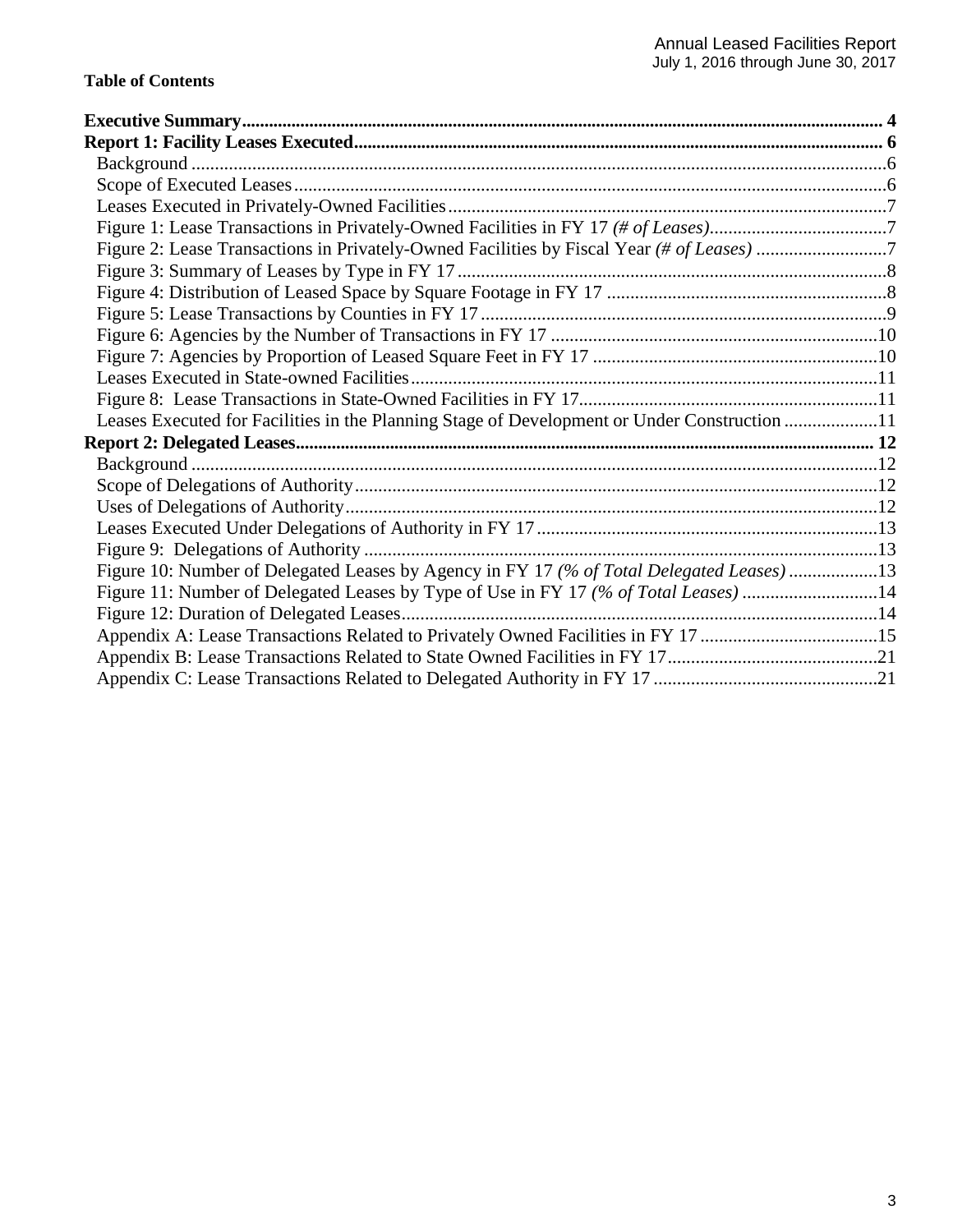| Leases Executed for Facilities in the Planning Stage of Development or Under Construction 11 |  |
|----------------------------------------------------------------------------------------------|--|
|                                                                                              |  |
|                                                                                              |  |
|                                                                                              |  |
|                                                                                              |  |
|                                                                                              |  |
|                                                                                              |  |
| Figure 10: Number of Delegated Leases by Agency in FY 17 (% of Total Delegated Leases) 13    |  |
| Figure 11: Number of Delegated Leases by Type of Use in FY 17 (% of Total Leases) 14         |  |
|                                                                                              |  |
| Appendix A: Lease Transactions Related to Privately Owned Facilities in FY 17 15             |  |
|                                                                                              |  |
|                                                                                              |  |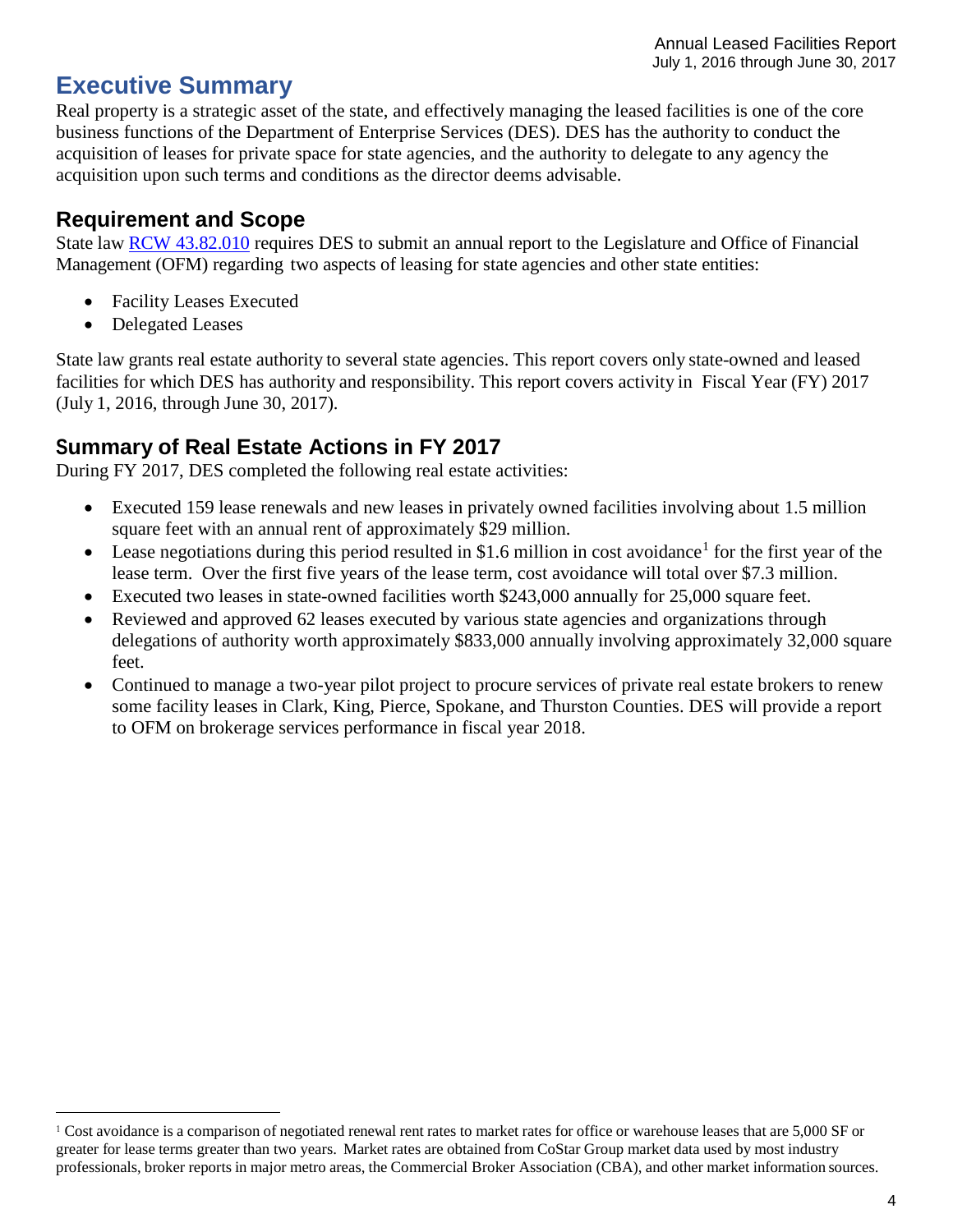Annual Leased Facilities Report July 1, 2016 through June 30, 2017

# <span id="page-3-0"></span>**Executive Summary**

Real property is a strategic asset of the state, and effectively managing the leased facilities is one of the core business functions of the Department of Enterprise Services (DES). DES has the authority to conduct the acquisition of leases for private space for state agencies, and the authority to delegate to any agency the acquisition upon such terms and conditions as the director deems advisable.

#### **Requirement and Scope**

State law RCW [43.82.010](http://apps.leg.wa.gov/RCW/default.aspx?Cite=43.82.010) requires DES to submit an annual report to the Legislature and Office of Financial Management (OFM) regarding two aspects of leasing for state agencies and other state entities:

- Facility Leases Executed
- Delegated Leases

State law grants real estate authority to several state agencies. This report covers only state-owned and leased facilities for which DES has authority and responsibility. This report covers activity in Fiscal Year (FY) 2017 (July 1, 2016, through June 30, 2017).

## **Summary of Real Estate Actions in FY 2017**

During FY 2017, DES completed the following real estate activities:

- Executed 159 lease renewals and new leases in privately owned facilities involving about 1.5 million square feet with an annual rent of approximately \$29 million.
- Lease negotiations during this period resulted in \$[1](#page-3-1).6 million in cost avoidance<sup>1</sup> for the first year of the lease term. Over the first five years of the lease term, cost avoidance will total over \$7.3 million.
- Executed two leases in state-owned facilities worth \$243,000 annually for 25,000 square feet.
- Reviewed and approved 62 leases executed by various state agencies and organizations through delegations of authority worth approximately \$833,000 annually involving approximately 32,000 square feet.
- Continued to manage a two-year pilot project to procure services of private real estate brokers to renew some facility leases in Clark, King, Pierce, Spokane, and Thurston Counties. DES will provide a report to OFM on brokerage services performance in fiscal year 2018.

<span id="page-3-1"></span> $1$  Cost avoidance is a comparison of negotiated renewal rent rates to market rates for office or warehouse leases that are 5,000 SF or greater for lease terms greater than two years. Market rates are obtained from CoStar Group market data used by most industry professionals, broker reports in major metro areas, the Commercial Broker Association (CBA), and other market information sources.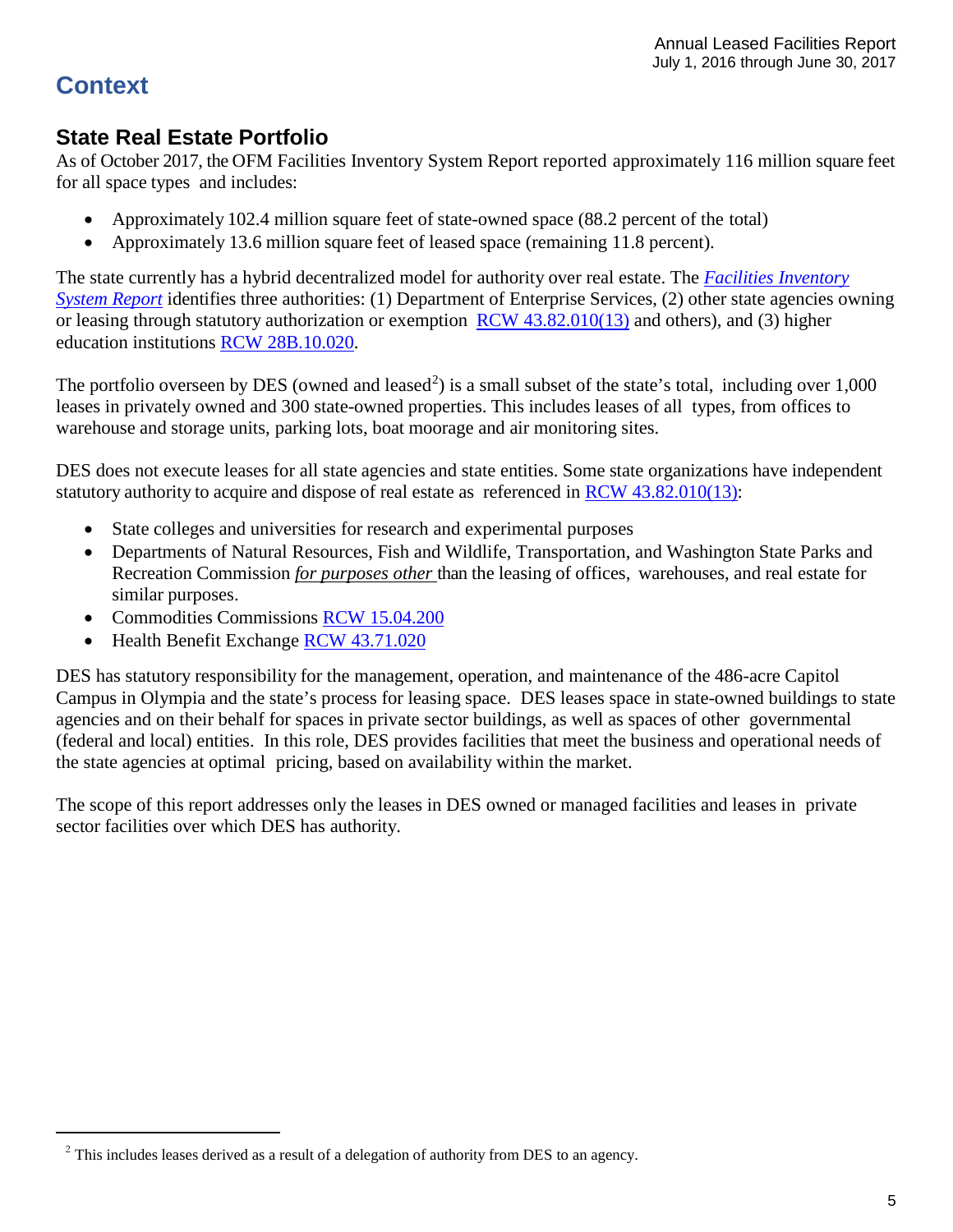# **Context**

### **State Real Estate Portfolio**

As of October 2017, the OFM Facilities Inventory System Report reported approximately 116 million square feet for all space types and includes:

- Approximately 102.4 million square feet of state-owned space (88.2 percent of the total)
- Approximately 13.6 million square feet of leased space (remaining 11.8 percent).

The state currently has a hybrid decentralized model for authority over real estate. The *Facilities [Inventory](https://ofm.wa.gov/sites/default/files/public/legacy/budget/facilities/documents/FacilitiesInventorySystem2017FinalReport.pdf) [System](https://ofm.wa.gov/sites/default/files/public/legacy/budget/facilities/documents/FacilitiesInventorySystem2017FinalReport.pdf) Report* identifies three authorities: (1) Department of Enterprise Services, (2) other state agencies owning or leasing through statutory authorization or exemption RCW [43.82.010\(13\)](http://apps.leg.wa.gov/rcw/default.aspx?cite=43.82.010) and others), and (3) higher education institutions RCW [28B.10.020.](http://apps.leg.wa.gov/rcw/default.aspx?cite=28B.10.020)

The portfolio overseen by DES (owned and leased<sup>[2](#page-4-0)</sup>) is a small subset of the state's total, including over  $1,000$ leases in privately owned and 300 state-owned properties. This includes leases of all types, from offices to warehouse and storage units, parking lots, boat moorage and air monitoring sites.

DES does not execute leases for all state agencies and state entities. Some state organizations have independent statutory authority to acquire and dispose of real estate as referenced in RCW [43.82.010\(13\):](http://apps.leg.wa.gov/rcw/default.aspx?cite=43.82.010)

- State colleges and universities for research and experimental purposes
- Departments of Natural Resources, Fish and Wildlife, Transportation, and Washington State Parks and Recreation Commission *for purposes other* than the leasing of offices, warehouses, and real estate for similar purposes.
- Commodities Commissions [RCW 15.04.200](http://apps.leg.wa.gov/rcw/default.aspx?cite=15.04.200)
- Health Benefit Exchange RCW [43.71.020](http://app.leg.wa.gov/rcw/default.aspx?cite=43.71.020)

DES has statutory responsibility for the management, operation, and maintenance of the 486-acre Capitol Campus in Olympia and the state's process for leasing space. DES leases space in state-owned buildings to state agencies and on their behalf for spaces in private sector buildings, as well as spaces of other governmental (federal and local) entities. In this role, DES provides facilities that meet the business and operational needs of the state agencies at optimal pricing, based on availability within the market.

The scope of this report addresses only the leases in DES owned or managed facilities and leases in private sector facilities over which DES has authority.

<span id="page-4-0"></span> $2$  This includes leases derived as a result of a delegation of authority from DES to an agency.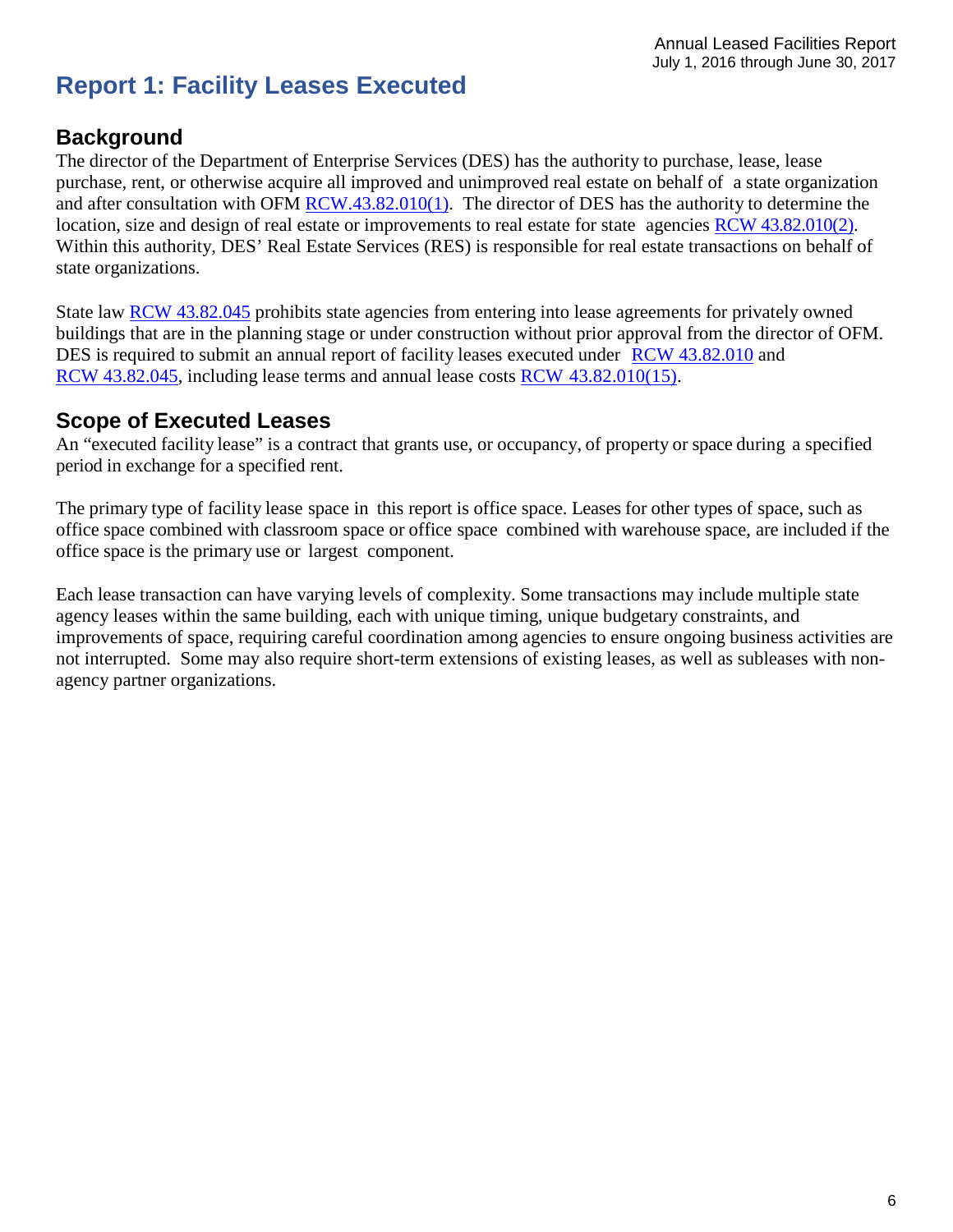# <span id="page-5-0"></span>**Report 1: Facility Leases Executed**

#### <span id="page-5-1"></span>**Background**

The director of the Department of Enterprise Services (DES) has the authority to purchase, lease, lease purchase, rent, or otherwise acquire all improved and unimproved real estate on behalf of a state organization and after consultation with OFM [RCW.43.82.010\(1\).](http://apps.leg.wa.gov/RCW/default.aspx?Cite=43.82.010) The director of DES has the authority to determine the location, size and design of real estate or improvements to real estate for state agencies RCW [43.82.010\(2\).](http://apps.leg.wa.gov/RCW/default.aspx?Cite=43.82.010) Within this authority, DES' Real Estate Services (RES) is responsible for real estate transactions on behalf of state organizations.

State law [RCW 43.82.045](http://apps.leg.wa.gov/rcw/default.aspx?cite=43.82.045) prohibits state agencies from entering into lease agreements for privately owned buildings that are in the planning stage or under construction without prior approval from the director of OFM. DES is required to submit an annual report of facility leases executed under RCW [43.82.010](http://apps.leg.wa.gov/RCW/default.aspx?Cite=43.82.010) and RCW [43.82.045,](http://apps.leg.wa.gov/rcw/default.aspx?cite=43.82.045) including lease terms and annual lease costs RCW [43.82.010\(15\).](http://apps.leg.wa.gov/RCW/default.aspx?Cite=43.82.010)

#### <span id="page-5-2"></span>**Scope of Executed Leases**

An "executed facility lease" is a contract that grants use, or occupancy, of property or space during a specified period in exchange for a specified rent.

The primary type of facility lease space in this report is office space. Leases for other types of space, such as office space combined with classroom space or office space combined with warehouse space, are included if the office space is the primary use or largest component.

Each lease transaction can have varying levels of complexity. Some transactions may include multiple state agency leases within the same building, each with unique timing, unique budgetary constraints, and improvements of space, requiring careful coordination among agencies to ensure ongoing business activities are not interrupted. Some may also require short-term extensions of existing leases, as well as subleases with nonagency partner organizations.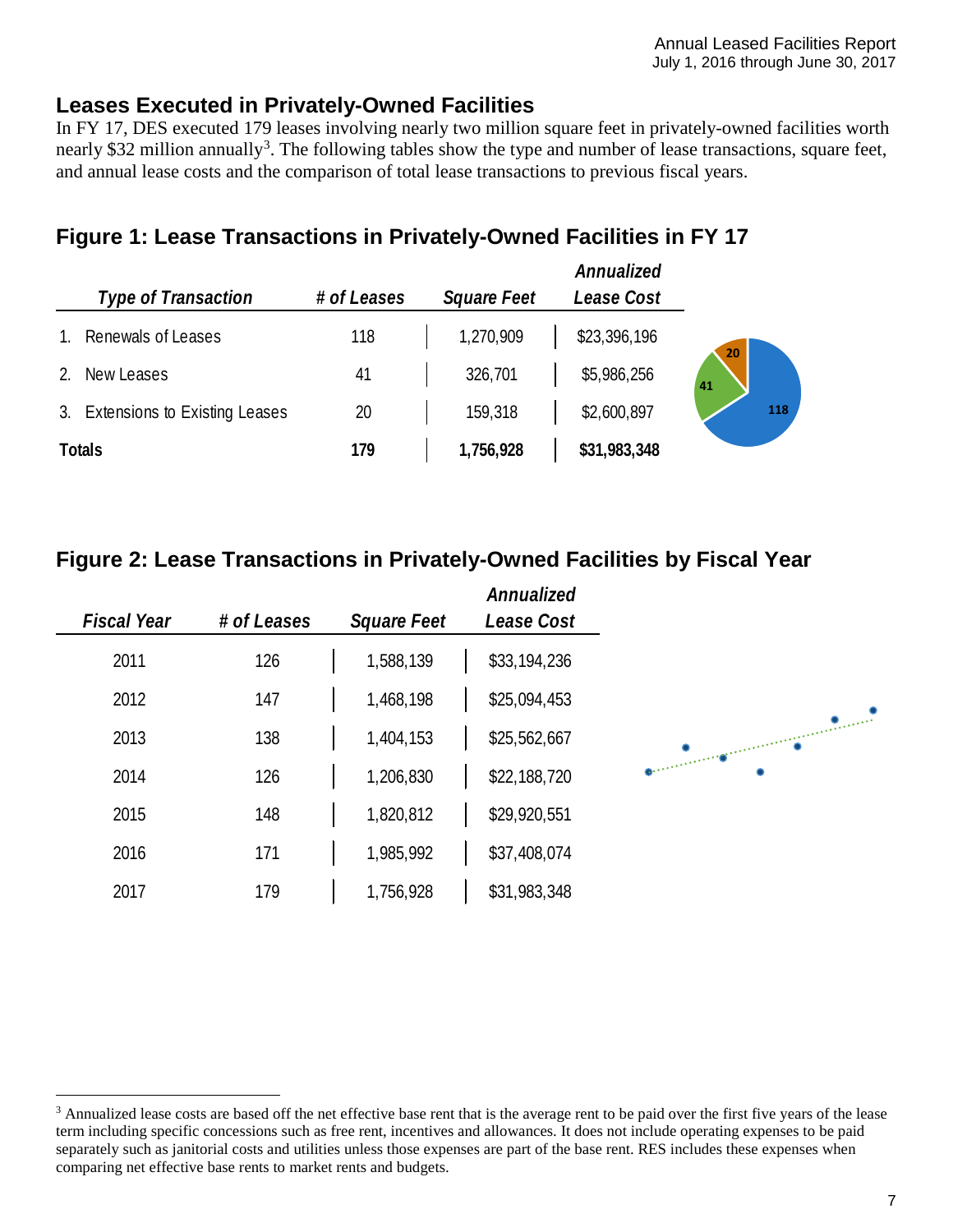## <span id="page-6-0"></span>**Leases Executed in Privately-Owned Facilities**

In FY 17, DES executed 179 leases involving nearly two million square feet in privately-owned facilities worth nearly \$[3](#page-6-3)2 million annually<sup>3</sup>. The following tables show the type and number of lease transactions, square feet, and annual lease costs and the comparison of total lease transactions to previous fiscal years.

# <span id="page-6-1"></span>**Figure 1: Lease Transactions in Privately-Owned Facilities in FY 17**

|                                  |             |                    | Annualized   |
|----------------------------------|-------------|--------------------|--------------|
| <b>Type of Transaction</b>       | # of Leases | <b>Square Feet</b> | Lease Cost   |
| Renewals of Leases               | 118         | 1,270,909          | \$23,396,196 |
| New Leases                       | 41          | 326,701            | \$5,986,256  |
| 3. Extensions to Existing Leases | 20          | 159,318            | \$2,600,897  |
| <b>Totals</b>                    | 179         | 1,756,928          | \$31,983,348 |

## <span id="page-6-2"></span>**Figure 2: Lease Transactions in Privately-Owned Facilities by Fiscal Year**

| Annualized<br>Lease Cost | <b>Square Feet</b> | # of Leases | <b>Fiscal Year</b> |
|--------------------------|--------------------|-------------|--------------------|
| \$33,194,236             | 1,588,139          | 126         | 2011               |
| \$25,094,453             | 1,468,198          | 147         | 2012               |
| \$25,562,667             | 1,404,153          | 138         | 2013               |
| \$22,188,720             | 1,206,830          | 126         | 2014               |
| \$29,920,551             | 1,820,812          | 148         | 2015               |
| \$37,408,074             | 1,985,992          | 171         | 2016               |
| \$31,983,348             | 1,756,928          | 179         | 2017               |

 $\overline{a}$ 

<span id="page-6-3"></span><sup>&</sup>lt;sup>3</sup> Annualized lease costs are based off the net effective base rent that is the average rent to be paid over the first five years of the lease term including specific concessions such as free rent, incentives and allowances. It does not include operating expenses to be paid separately such as janitorial costs and utilities unless those expenses are part of the base rent. RES includes these expenses when comparing net effective base rents to market rents and budgets.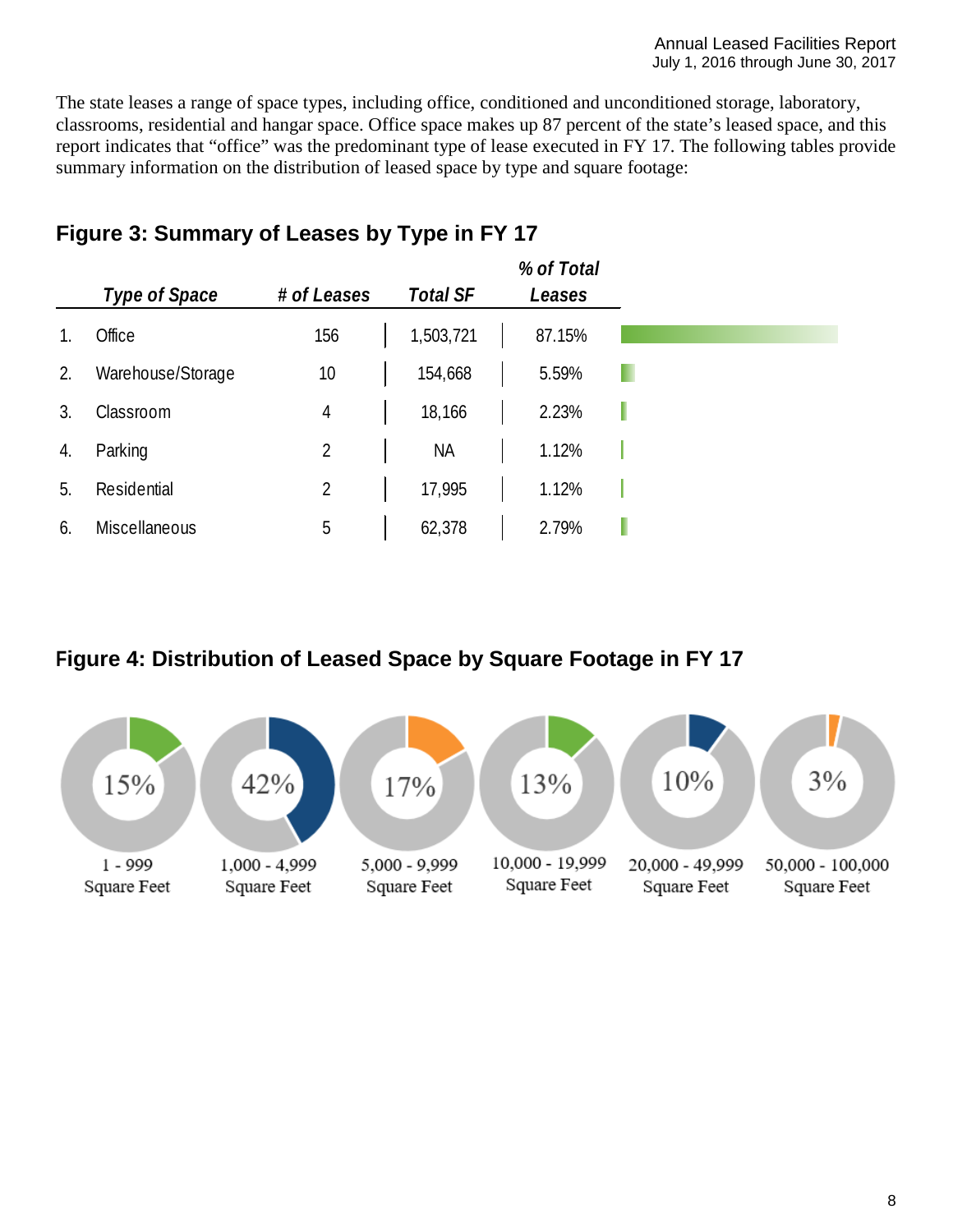The state leases a range of space types, including office, conditioned and unconditioned storage, laboratory, classrooms, residential and hangar space. Office space makes up 87 percent of the state's leased space, and this report indicates that "office" was the predominant type of lease executed in FY 17. The following tables provide summary information on the distribution of leased space by type and square footage:

|    | Type of Space        | # of Leases | <b>Total SF</b> | % of Total<br>Leases |   |
|----|----------------------|-------------|-----------------|----------------------|---|
|    | Office               | 156         | 1,503,721       | 87.15%               |   |
| 2. | Warehouse/Storage    | 10          | 154,668         | 5.59%                |   |
| 3. | Classroom            | 4           | 18,166          | 2.23%                | ı |
| 4. | Parking              | 2           | <b>NA</b>       | 1.12%                |   |
| 5. | Residential          | 2           | 17,995          | 1.12%                |   |
| 6. | <b>Miscellaneous</b> | 5           | 62,378          | 2.79%                |   |

# <span id="page-7-0"></span>**Figure 3: Summary of Leases by Type in FY 17**

#### <span id="page-7-1"></span>**Figure 4: Distribution of Leased Space by Square Footage in FY 17**

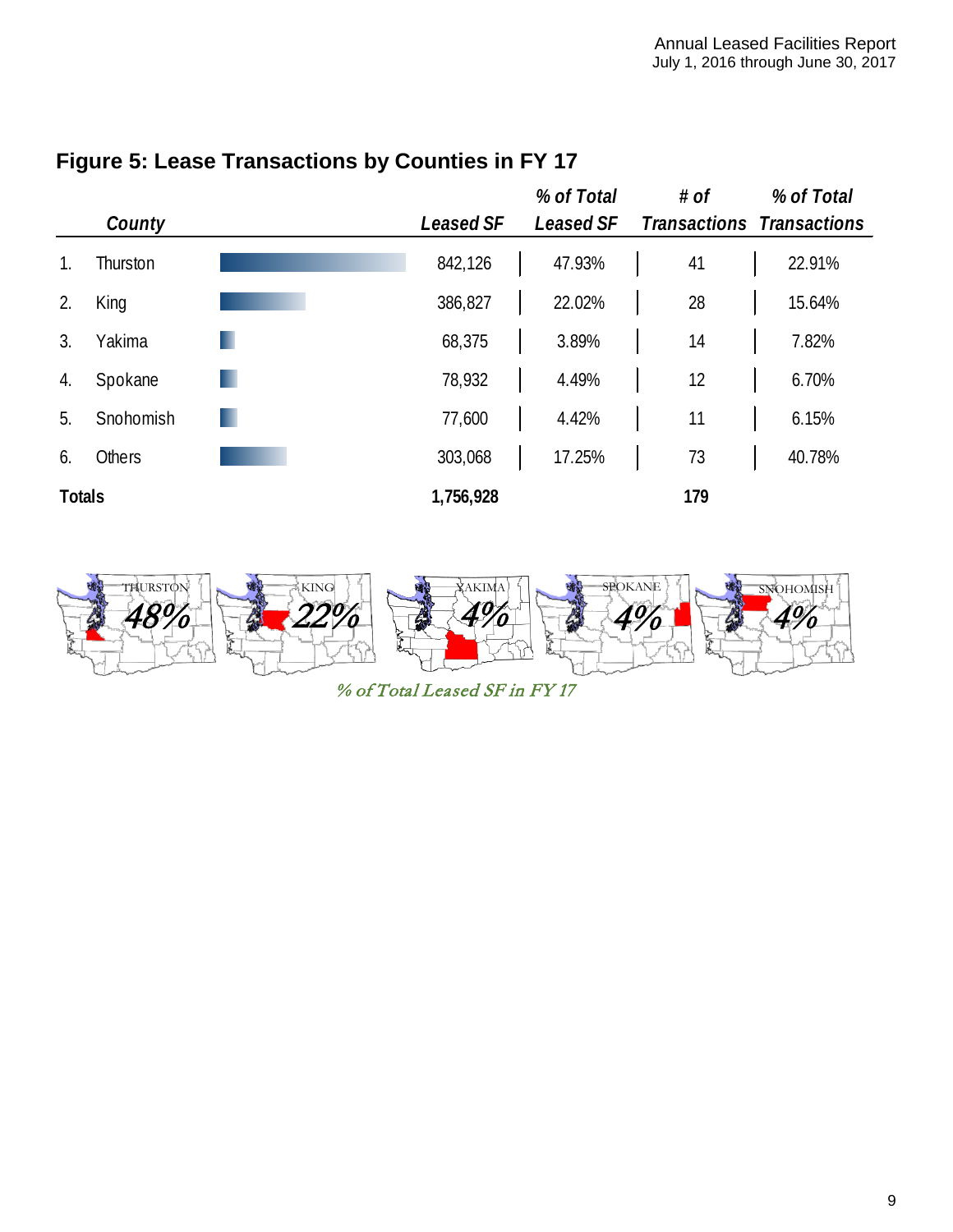

## <span id="page-8-0"></span>**Figure 5: Lease Transactions by Counties in FY 17**



% of Total Leased SF in FY 17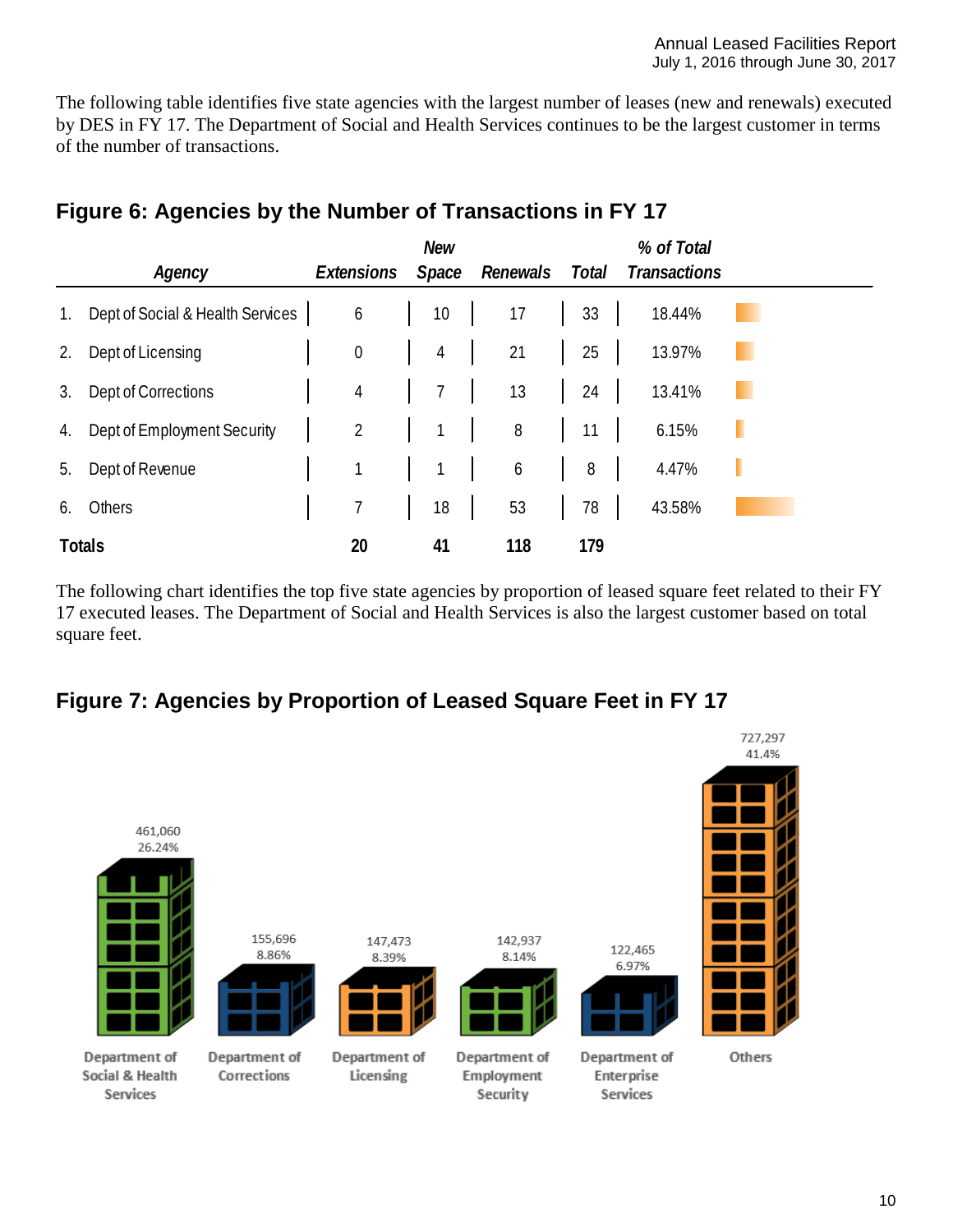The following table identifies five state agencies with the largest number of leases (new and renewals) executed by DES in FY 17. The Department of Social and Health Services continues to be the largest customer in terms of the number of transactions.

|             | Agency                           | Extensions       | <b>New</b><br>Space | Renewals | Total | % of Total<br><b>Transactions</b> |   |
|-------------|----------------------------------|------------------|---------------------|----------|-------|-----------------------------------|---|
| $1_{\cdot}$ | Dept of Social & Health Services | 6                | 10                  | 17       | 33    | 18.44%                            |   |
| 2.          | Dept of Licensing                | $\boldsymbol{0}$ | $\overline{4}$      | 21       | 25    | 13.97%                            |   |
| 3.          | Dept of Corrections              | $\overline{4}$   | 7                   | 13       | 24    | 13.41%                            |   |
| 4.          | Dept of Employment Security      | $\overline{2}$   |                     | 8        | 11    | 6.15%                             | н |
| 5.          | Dept of Revenue                  | 1                |                     | 6        | 8     | 4.47%                             |   |
| 6.          | Others                           | 7                | 18                  | 53       | 78    | 43.58%                            |   |
|             | <b>Totals</b>                    | 20               | 41                  | 118      | 179   |                                   |   |

# <span id="page-9-0"></span>**Figure 6: Agencies by the Number of Transactions in FY 17**

The following chart identifies the top five state agencies by proportion of leased square feet related to their FY 17 executed leases. The Department of Social and Health Services is also the largest customer based on total square feet.

## <span id="page-9-1"></span>**Figure 7: Agencies by Proportion of Leased Square Feet in FY 17**

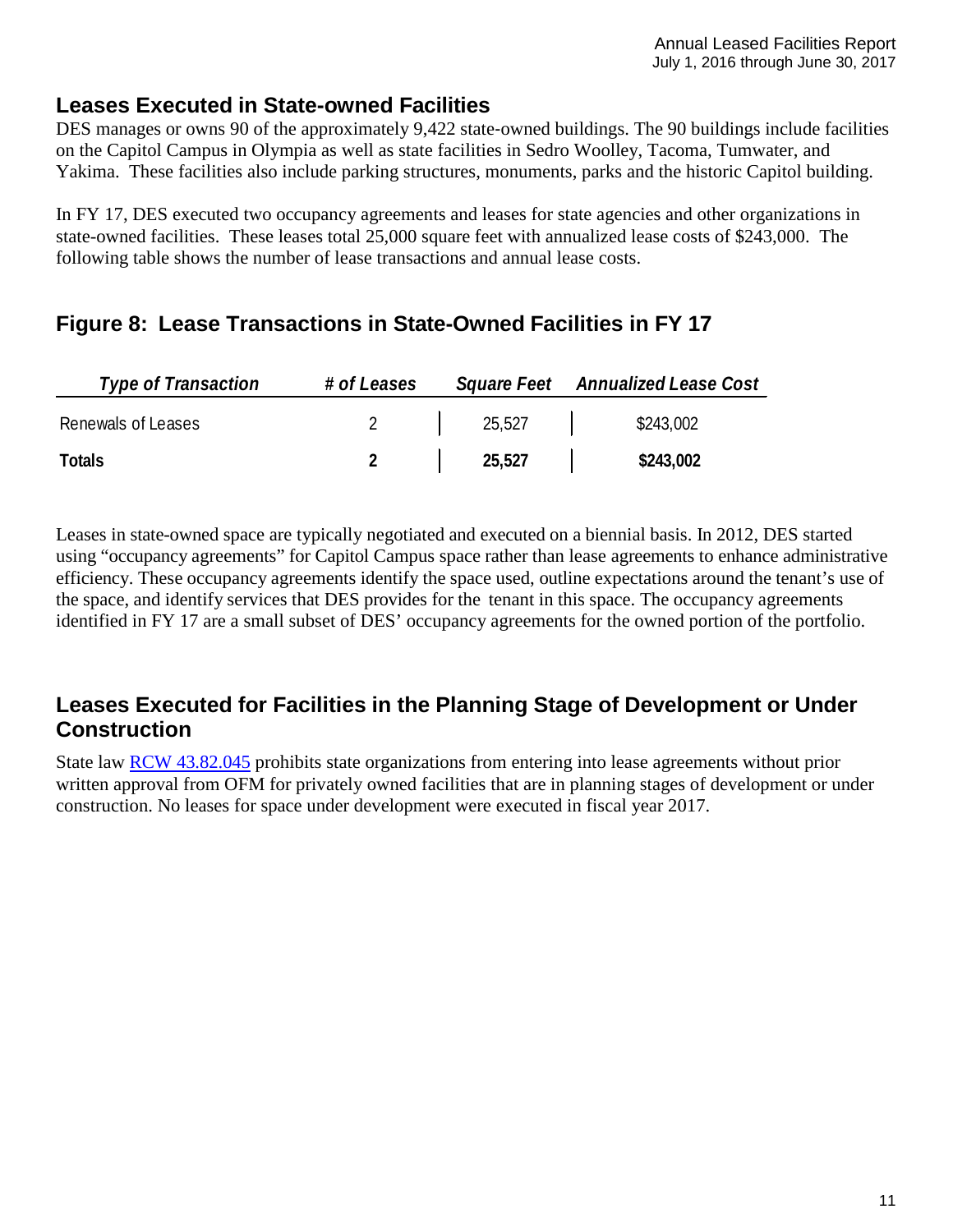#### <span id="page-10-0"></span>**Leases Executed in State-owned Facilities**

DES manages or owns 90 of the approximately 9,422 state-owned buildings. The 90 buildings include facilities on the Capitol Campus in Olympia as well as state facilities in Sedro Woolley, Tacoma, Tumwater, and Yakima. These facilities also include parking structures, monuments, parks and the historic Capitol building.

In FY 17, DES executed two occupancy agreements and leases for state agencies and other organizations in state-owned facilities. These leases total 25,000 square feet with annualized lease costs of \$243,000. The following table shows the number of lease transactions and annual lease costs.

## <span id="page-10-1"></span>**Figure 8: Lease Transactions in State-Owned Facilities in FY 17**

| <b>Type of Transaction</b> | # of Leases |        | Square Feet Annualized Lease Cost |
|----------------------------|-------------|--------|-----------------------------------|
| Renewals of Leases         |             | 25,527 | \$243,002                         |
| Totals                     |             | 25,527 | \$243,002                         |

Leases in state-owned space are typically negotiated and executed on a biennial basis. In 2012, DES started using "occupancy agreements" for Capitol Campus space rather than lease agreements to enhance administrative efficiency. These occupancy agreements identify the space used, outline expectations around the tenant's use of the space, and identify services that DES provides for the tenant in this space. The occupancy agreements identified in FY 17 are a small subset of DES' occupancy agreements for the owned portion of the portfolio.

## <span id="page-10-2"></span>**Leases Executed for Facilities in the Planning Stage of Development or Under Construction**

State law [RCW 43.82.045](http://apps.leg.wa.gov/rcw/default.aspx?cite=43.82.045) prohibits state organizations from entering into lease agreements without prior written approval from OFM for privately owned facilities that are in planning stages of development or under construction. No leases for space under development were executed in fiscal year 2017.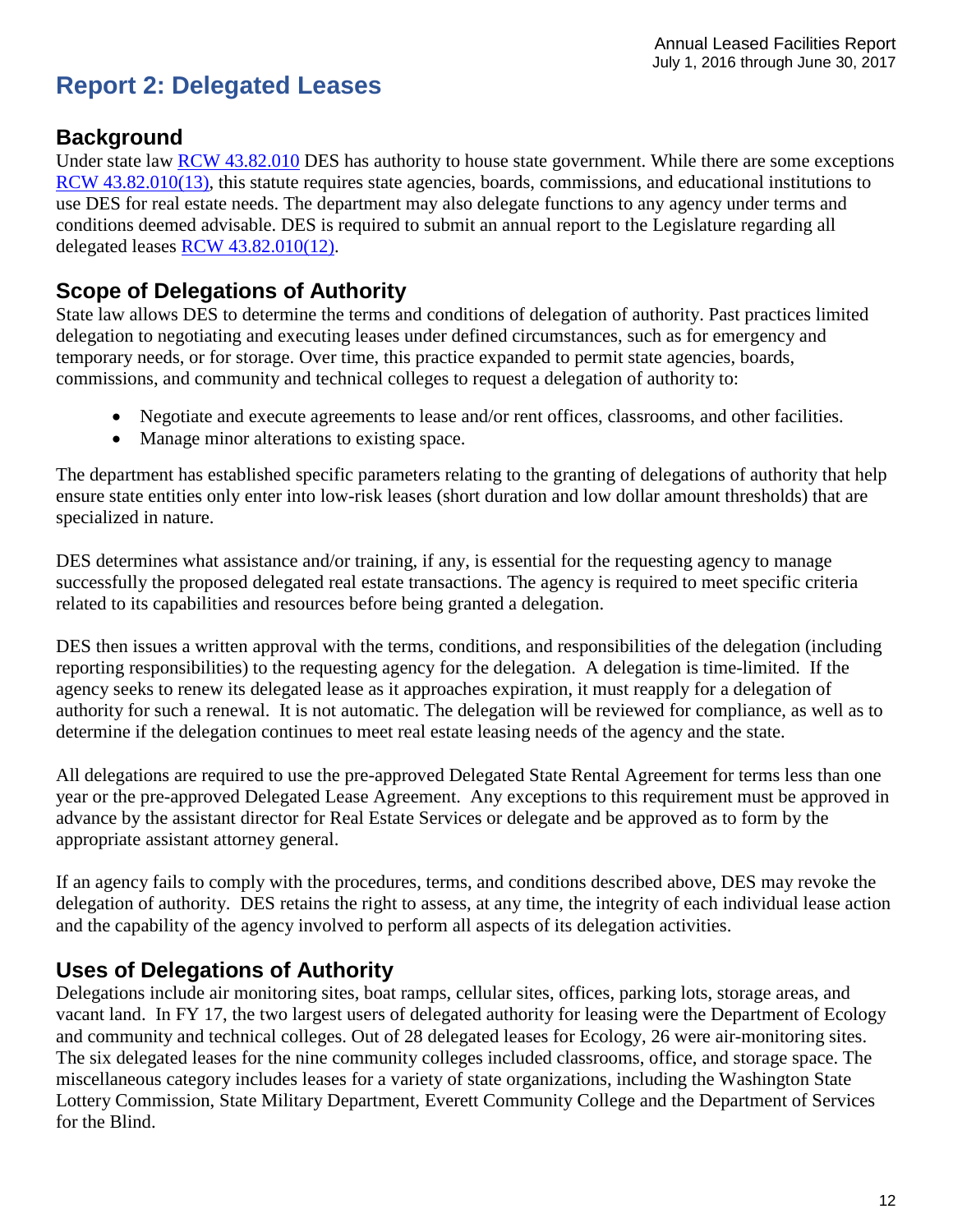# <span id="page-11-0"></span>**Report 2: Delegated Leases**

#### <span id="page-11-1"></span>**Background**

Under state law [RCW 43.82.010](http://apps.leg.wa.gov/rcw/default.aspx?cite=43.82.010) DES has authority to house state government. While there are some exceptions [RCW 43.82.010\(13\),](http://apps.leg.wa.gov/rcw/default.aspx?cite=43.82.010) this statute requires state agencies, boards, commissions, and educational institutions to use DES for real estate needs. The department may also delegate functions to any agency under terms and conditions deemed advisable. DES is required to submit an annual report to the Legislature regarding all delegated leases [RCW 43.82.010\(12\).](http://apps.leg.wa.gov/rcw/default.aspx?cite=43.82.010)

### <span id="page-11-2"></span>**Scope of Delegations of Authority**

State law allows DES to determine the terms and conditions of delegation of authority. Past practices limited delegation to negotiating and executing leases under defined circumstances, such as for emergency and temporary needs, or for storage. Over time, this practice expanded to permit state agencies, boards, commissions, and community and technical colleges to request a delegation of authority to:

- Negotiate and execute agreements to lease and/or rent offices, classrooms, and other facilities.
- Manage minor alterations to existing space.

The department has established specific parameters relating to the granting of delegations of authority that help ensure state entities only enter into low-risk leases (short duration and low dollar amount thresholds) that are specialized in nature.

DES determines what assistance and/or training, if any, is essential for the requesting agency to manage successfully the proposed delegated real estate transactions. The agency is required to meet specific criteria related to its capabilities and resources before being granted a delegation.

DES then issues a written approval with the terms, conditions, and responsibilities of the delegation (including reporting responsibilities) to the requesting agency for the delegation. A delegation is time-limited. If the agency seeks to renew its delegated lease as it approaches expiration, it must reapply for a delegation of authority for such a renewal. It is not automatic. The delegation will be reviewed for compliance, as well as to determine if the delegation continues to meet real estate leasing needs of the agency and the state.

All delegations are required to use the pre-approved Delegated State Rental Agreement for terms less than one year or the pre-approved Delegated Lease Agreement. Any exceptions to this requirement must be approved in advance by the assistant director for Real Estate Services or delegate and be approved as to form by the appropriate assistant attorney general.

If an agency fails to comply with the procedures, terms, and conditions described above, DES may revoke the delegation of authority. DES retains the right to assess, at any time, the integrity of each individual lease action and the capability of the agency involved to perform all aspects of its delegation activities.

#### <span id="page-11-3"></span>**Uses of Delegations of Authority**

Delegations include air monitoring sites, boat ramps, cellular sites, offices, parking lots, storage areas, and vacant land. In FY 17, the two largest users of delegated authority for leasing were the Department of Ecology and community and technical colleges. Out of 28 delegated leases for Ecology, 26 were air-monitoring sites. The six delegated leases for the nine community colleges included classrooms, office, and storage space. The miscellaneous category includes leases for a variety of state organizations, including the Washington State Lottery Commission, State Military Department, Everett Community College and the Department of Services for the Blind.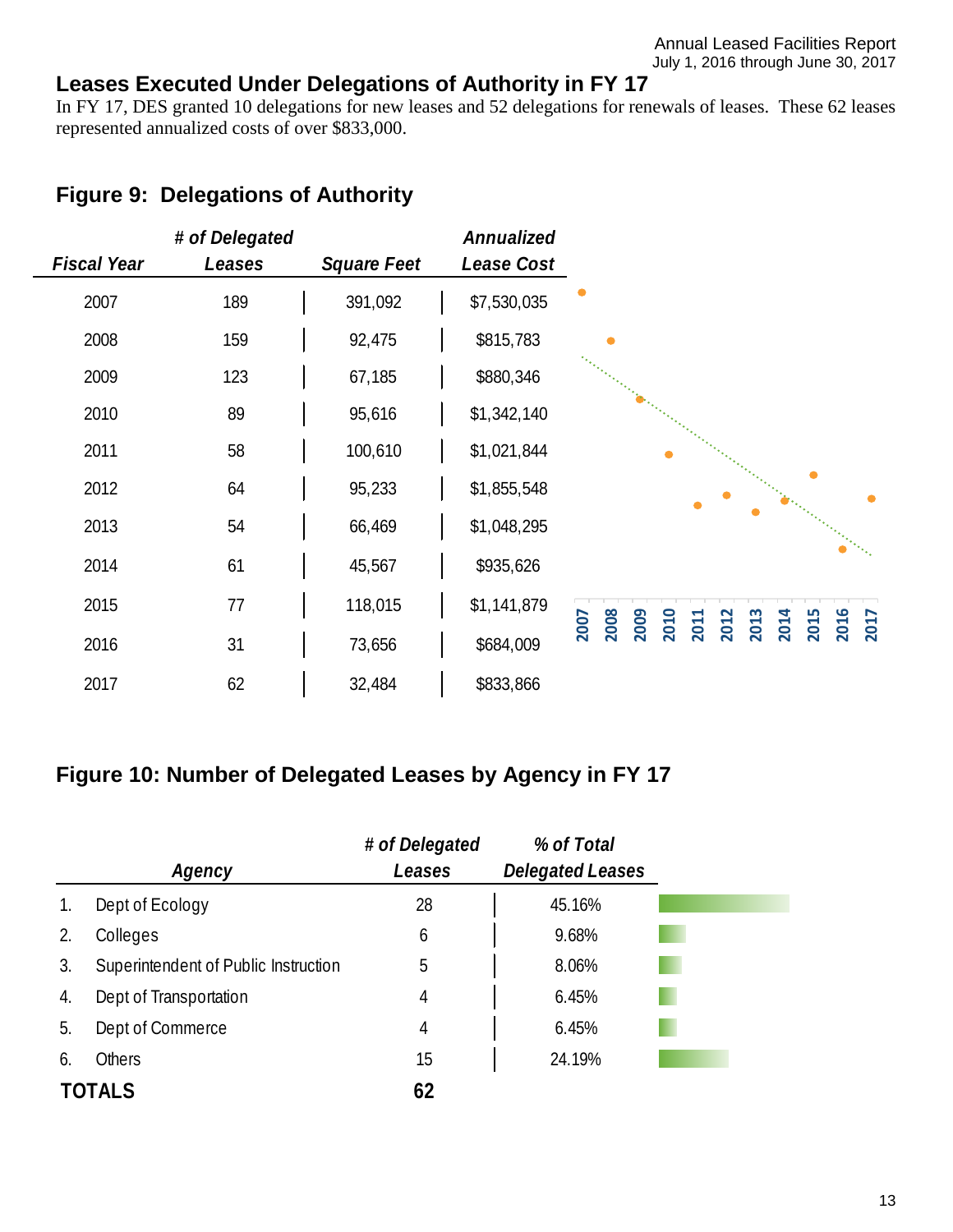## <span id="page-12-0"></span>**Leases Executed Under Delegations of Authority in FY 17**

In FY 17, DES granted 10 delegations for new leases and 52 delegations for renewals of leases. These 62 leases represented annualized costs of over \$833,000.

# <span id="page-12-1"></span>**Figure 9: Delegations of Authority**

|                    | # of Delegated |                    | Annualized  |                                                                                      |
|--------------------|----------------|--------------------|-------------|--------------------------------------------------------------------------------------|
| <b>Fiscal Year</b> | Leases         | <b>Square Feet</b> | Lease Cost  |                                                                                      |
| 2007               | 189            | 391,092            | \$7,530,035 |                                                                                      |
| 2008               | 159            | 92,475             | \$815,783   |                                                                                      |
| 2009               | 123            | 67,185             | \$880,346   |                                                                                      |
| 2010               | 89             | 95,616             | \$1,342,140 |                                                                                      |
| 2011               | 58             | 100,610            | \$1,021,844 |                                                                                      |
| 2012               | 64             | 95,233             | \$1,855,548 |                                                                                      |
| 2013               | 54             | 66,469             | \$1,048,295 |                                                                                      |
| 2014               | 61             | 45,567             | \$935,626   |                                                                                      |
| 2015               | 77             | 118,015            | \$1,141,879 |                                                                                      |
| 2016               | 31             | 73,656             | \$684,009   | 2016<br>2008<br>2014<br>2015<br>2009<br>2010<br>2013<br>2011<br>2012<br>2007<br>2017 |
| 2017               | 62             | 32,484             | \$833,866   |                                                                                      |

## <span id="page-12-2"></span>**Figure 10: Number of Delegated Leases by Agency in FY 17**

|    |                                      | # of Delegated | % of Total              |
|----|--------------------------------------|----------------|-------------------------|
|    | Agency                               | Leases         | <b>Delegated Leases</b> |
| 1. | Dept of Ecology                      | 28             | 45.16%                  |
| 2. | Colleges                             | 6              | 9.68%                   |
| 3. | Superintendent of Public Instruction | 5              | 8.06%                   |
| 4. | Dept of Transportation               | 4              | 6.45%                   |
| 5. | Dept of Commerce                     | 4              | 6.45%                   |
| 6. | <b>Others</b>                        | 15             | 24.19%                  |
|    | TOTALS                               | 62             |                         |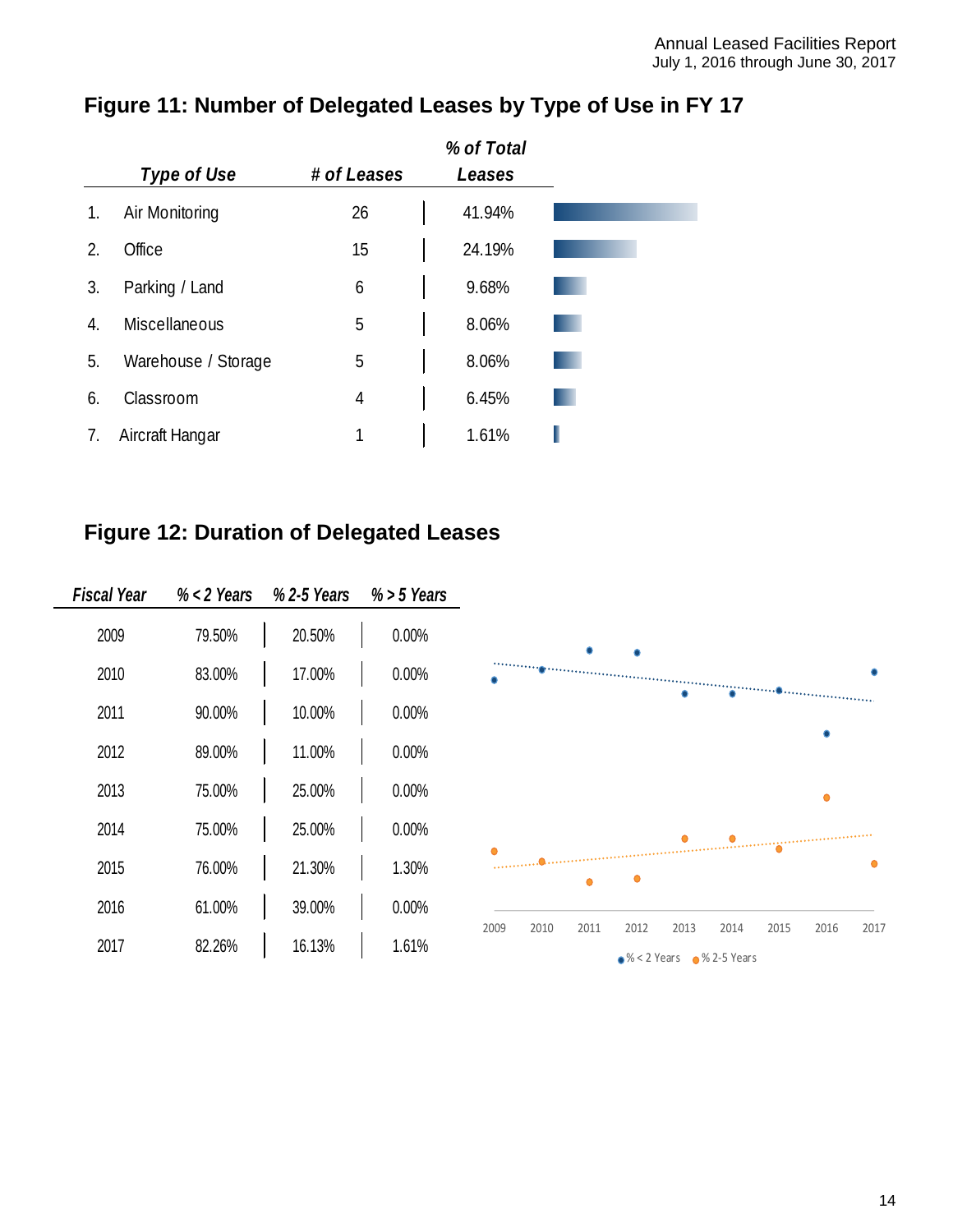|    |                      |             | % of Total |
|----|----------------------|-------------|------------|
|    | Type of Use          | # of Leases | Leases     |
| 1. | Air Monitoring       | 26          | 41.94%     |
| 2. | Office               | 15          | 24.19%     |
| 3. | Parking / Land       | 6           | 9.68%      |
| 4. | <b>Miscellaneous</b> | 5           | 8.06%      |
| 5. | Warehouse / Storage  | 5           | 8.06%      |
| 6. | Classroom            | 4           | 6.45%      |
| 7. | Aircraft Hangar      | 1           | 1.61%      |

# <span id="page-13-0"></span>**Figure 11: Number of Delegated Leases by Type of Use in FY 17**

# <span id="page-13-1"></span>**Figure 12: Duration of Delegated Leases**

| Fiscal Year | $% < 2$ Years | % 2-5 Years | $%$ > 5 Years |
|-------------|---------------|-------------|---------------|
| 2009        | 79.50%        | 20.50%      | 0.00%         |
| 2010        | 83.00%        | 17.00%      | 0.00%         |
| 2011        | 90.00%        | 10.00%      | 0.00%         |
| 2012        | 89.00%        | 11.00%      | 0.00%         |
| 2013        | 75.00%        | 25.00%      | 0.00%         |
| 2014        | 75.00%        | 25.00%      | 0.00%         |
| 2015        | 76.00%        | 21.30%      | 1.30%         |
| 2016        | 61.00%        | 39.00%      | 0.00%         |
| 2017        | 82.26%        | 16.13%      | 1.61%         |

J.

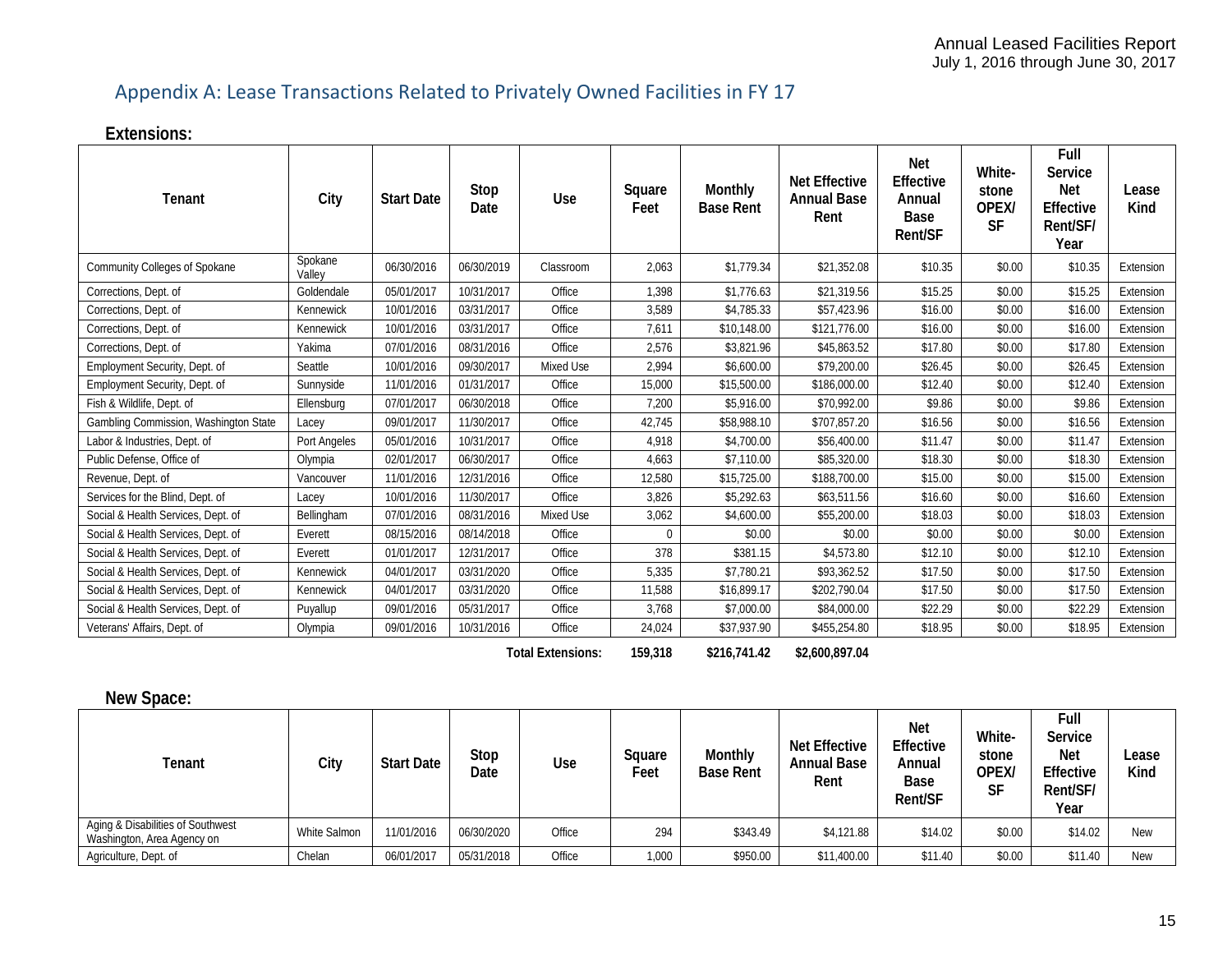# Appendix A: Lease Transactions Related to Privately Owned Facilities in FY 17

**Extensions:**

<span id="page-14-0"></span>

| Tenant                                | City              | <b>Start Date</b> | Stop<br>Date             | Use       | Square<br>Feet | Monthly<br><b>Base Rent</b> | <b>Net Effective</b><br><b>Annual Base</b><br>Rent | Net<br><b>Effective</b><br>Annual<br><b>Base</b><br>Rent/SF | White-<br>stone<br>OPEX/<br><b>SF</b> | Full<br>Service<br><b>Net</b><br><b>Effective</b><br>Rent/SF/<br>Year | Lease<br>Kind |
|---------------------------------------|-------------------|-------------------|--------------------------|-----------|----------------|-----------------------------|----------------------------------------------------|-------------------------------------------------------------|---------------------------------------|-----------------------------------------------------------------------|---------------|
| Community Colleges of Spokane         | Spokane<br>Valley | 06/30/2016        | 06/30/2019               | Classroom | 2,063          | \$1,779.34                  | \$21,352.08                                        | \$10.35                                                     | \$0.00                                | \$10.35                                                               | Extension     |
| Corrections, Dept. of                 | Goldendale        | 05/01/2017        | 10/31/2017               | Office    | 1,398          | \$1,776.63                  | \$21,319.56                                        | \$15.25                                                     | \$0.00                                | \$15.25                                                               | Extension     |
| Corrections, Dept. of                 | Kennewick         | 10/01/2016        | 03/31/2017               | Office    | 3,589          | \$4,785.33                  | \$57,423.96                                        | \$16.00                                                     | \$0.00                                | \$16.00                                                               | Extension     |
| Corrections, Dept. of                 | Kennewick         | 10/01/2016        | 03/31/2017               | Office    | 7,611          | \$10,148.00                 | \$121,776.00                                       | \$16.00                                                     | \$0.00                                | \$16.00                                                               | Extension     |
| Corrections, Dept. of                 | Yakima            | 07/01/2016        | 08/31/2016               | Office    | 2,576          | \$3,821.96                  | \$45,863.52                                        | \$17.80                                                     | \$0.00                                | \$17.80                                                               | Extension     |
| Employment Security, Dept. of         | Seattle           | 10/01/2016        | 09/30/2017               | Mixed Use | 2,994          | \$6,600.00                  | \$79,200.00                                        | \$26.45                                                     | \$0.00                                | \$26.45                                                               | Extension     |
| Employment Security, Dept. of         | Sunnyside         | 11/01/2016        | 01/31/2017               | Office    | 15,000         | \$15,500.00                 | \$186,000.00                                       | \$12.40                                                     | \$0.00                                | \$12.40                                                               | Extension     |
| Fish & Wildlife, Dept. of             | Ellensburg        | 07/01/2017        | 06/30/2018               | Office    | 7,200          | \$5,916.00                  | \$70,992.00                                        | \$9.86                                                      | \$0.00                                | \$9.86                                                                | Extension     |
| Gambling Commission, Washington State | Lacey             | 09/01/2017        | 11/30/2017               | Office    | 42,745         | \$58,988.10                 | \$707.857.20                                       | \$16.56                                                     | \$0.00                                | \$16.56                                                               | Extension     |
| Labor & Industries, Dept. of          | Port Angeles      | 05/01/2016        | 10/31/2017               | Office    | 4,918          | \$4,700.00                  | \$56,400.00                                        | \$11.47                                                     | \$0.00                                | \$11.47                                                               | Extension     |
| Public Defense, Office of             | Olympia           | 02/01/2017        | 06/30/2017               | Office    | 4,663          | \$7,110.00                  | \$85,320.00                                        | \$18.30                                                     | \$0.00                                | \$18.30                                                               | Extension     |
| Revenue, Dept. of                     | Vancouver         | 11/01/2016        | 12/31/2016               | Office    | 12,580         | \$15,725.00                 | \$188,700.00                                       | \$15.00                                                     | \$0.00                                | \$15.00                                                               | Extension     |
| Services for the Blind, Dept. of      | Lacey             | 10/01/2016        | 11/30/2017               | Office    | 3,826          | \$5,292.63                  | \$63,511.56                                        | \$16.60                                                     | \$0.00                                | \$16.60                                                               | Extension     |
| Social & Health Services, Dept. of    | Bellingham        | 07/01/2016        | 08/31/2016               | Mixed Use | 3,062          | \$4,600.00                  | \$55,200.00                                        | \$18.03                                                     | \$0.00                                | \$18.03                                                               | Extension     |
| Social & Health Services, Dept. of    | Everett           | 08/15/2016        | 08/14/2018               | Office    | $\Omega$       | \$0.00                      | \$0.00                                             | \$0.00                                                      | \$0.00                                | \$0.00                                                                | Extension     |
| Social & Health Services, Dept. of    | Everett           | 01/01/2017        | 12/31/2017               | Office    | 378            | \$381.15                    | \$4,573.80                                         | \$12.10                                                     | \$0.00                                | \$12.10                                                               | Extension     |
| Social & Health Services, Dept. of    | Kennewick         | 04/01/2017        | 03/31/2020               | Office    | 5,335          | \$7,780.21                  | \$93,362.52                                        | \$17.50                                                     | \$0.00                                | \$17.50                                                               | Extension     |
| Social & Health Services, Dept. of    | Kennewick         | 04/01/2017        | 03/31/2020               | Office    | 11,588         | \$16,899.17                 | \$202,790.04                                       | \$17.50                                                     | \$0.00                                | \$17.50                                                               | Extension     |
| Social & Health Services, Dept. of    | Puyallup          | 09/01/2016        | 05/31/2017               | Office    | 3,768          | \$7,000.00                  | \$84,000.00                                        | \$22.29                                                     | \$0.00                                | \$22.29                                                               | Extension     |
| Veterans' Affairs, Dept. of           | Olympia           | 09/01/2016        | 10/31/2016               | Office    | 24,024         | \$37,937.90                 | \$455,254.80                                       | \$18.95                                                     | \$0.00                                | \$18.95                                                               | Extension     |
|                                       |                   |                   | <b>Total Extensions:</b> | 159,318   | \$216,741.42   | \$2,600,897.04              |                                                    |                                                             |                                       |                                                                       |               |

| New Space:                                                      |              |                   |              |        |                |                             |                                                    |                                                      |                                |                                                                |               |
|-----------------------------------------------------------------|--------------|-------------------|--------------|--------|----------------|-----------------------------|----------------------------------------------------|------------------------------------------------------|--------------------------------|----------------------------------------------------------------|---------------|
| Tenant                                                          | City         | <b>Start Date</b> | Stop<br>Date | Use    | Square<br>Feet | Monthly<br><b>Base Rent</b> | <b>Net Effective</b><br><b>Annual Base</b><br>Rent | <b>Net</b><br>Effective<br>Annual<br>Base<br>Rent/SF | White-<br>stone<br>OPEX/<br>SF | Full<br>Service<br><b>Net</b><br>Effective<br>Rent/SF/<br>Year | Lease<br>Kind |
| Aging & Disabilities of Southwest<br>Washington, Area Agency on | White Salmon | 11/01/2016        | 06/30/2020   | Office | 294            | \$343.49                    | \$4,121.88                                         | \$14.02                                              | \$0.00                         | \$14.02                                                        | <b>New</b>    |
| Agriculture, Dept. of                                           | Chelan       | 06/01/2017        | 05/31/2018   | Office | 1,000          | \$950.00                    | \$11,400.00                                        | \$11.40                                              | \$0.00                         | \$11.40                                                        | <b>New</b>    |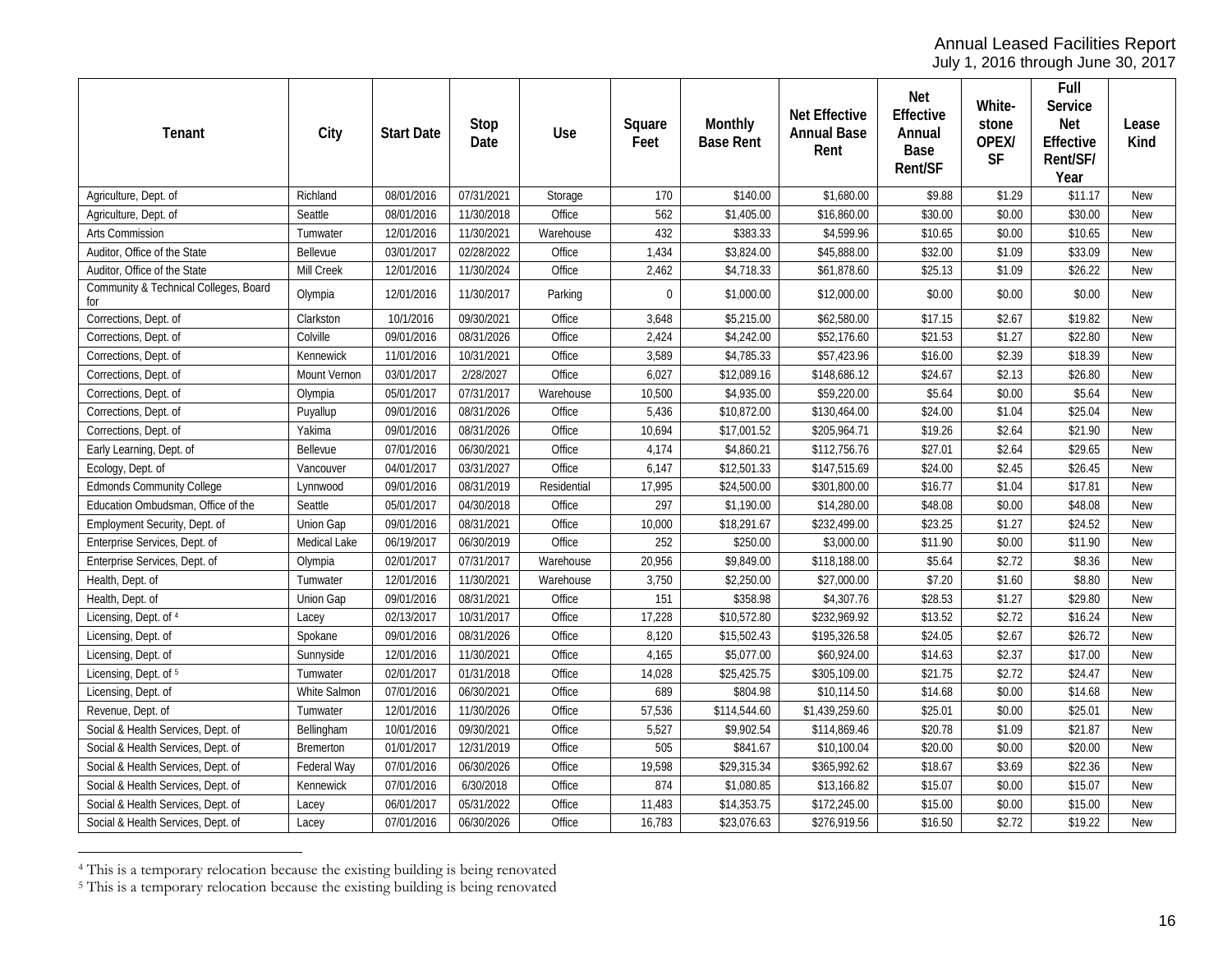<span id="page-15-1"></span><span id="page-15-0"></span>July 1, 2016 through June 30, 2017

| Tenant                                       | City         | <b>Start Date</b> | Stop<br>Date | Use         | Square<br>Feet | Monthly<br><b>Base Rent</b> | <b>Net Effective</b><br><b>Annual Base</b><br>Rent | Net<br>Effective<br>Annual<br>Base<br>Rent/SF | White-<br>stone<br>OPEX/<br><b>SF</b> | Full<br>Service<br>Net<br>Effective<br>Rent/SF/<br>Year | Lease<br>Kind |
|----------------------------------------------|--------------|-------------------|--------------|-------------|----------------|-----------------------------|----------------------------------------------------|-----------------------------------------------|---------------------------------------|---------------------------------------------------------|---------------|
| Agriculture, Dept. of                        | Richland     | 08/01/2016        | 07/31/2021   | Storage     | 170            | \$140.00                    | \$1,680.00                                         | \$9.88                                        | \$1.29                                | \$11.17                                                 | <b>New</b>    |
| Agriculture, Dept. of                        | Seattle      | 08/01/2016        | 11/30/2018   | Office      | 562            | \$1,405.00                  | \$16,860.00                                        | \$30.00                                       | \$0.00                                | \$30.00                                                 | <b>New</b>    |
| Arts Commission                              | Tumwater     | 12/01/2016        | 11/30/2021   | Warehouse   | 432            | \$383.33                    | \$4,599.96                                         | \$10.65                                       | \$0.00                                | \$10.65                                                 | <b>New</b>    |
| Auditor, Office of the State                 | Bellevue     | 03/01/2017        | 02/28/2022   | Office      | 1,434          | \$3,824.00                  | \$45,888.00                                        | \$32.00                                       | \$1.09                                | \$33.09                                                 | <b>New</b>    |
| Auditor, Office of the State                 | Mill Creek   | 12/01/2016        | 11/30/2024   | Office      | 2,462          | \$4,718.33                  | \$61,878.60                                        | \$25.13                                       | \$1.09                                | \$26.22                                                 | <b>New</b>    |
| Community & Technical Colleges, Board<br>for | Olympia      | 12/01/2016        | 11/30/2017   | Parking     | $\Omega$       | \$1,000.00                  | \$12,000.00                                        | \$0.00                                        | \$0.00                                | \$0.00                                                  | <b>New</b>    |
| Corrections, Dept. of                        | Clarkston    | 10/1/2016         | 09/30/2021   | Office      | 3,648          | \$5,215.00                  | \$62,580.00                                        | \$17.15                                       | \$2.67                                | \$19.82                                                 | <b>New</b>    |
| Corrections, Dept. of                        | Colville     | 09/01/2016        | 08/31/2026   | Office      | 2,424          | \$4,242.00                  | \$52,176.60                                        | \$21.53                                       | \$1.27                                | \$22.80                                                 | <b>New</b>    |
| Corrections, Dept. of                        | Kennewick    | 11/01/2016        | 10/31/2021   | Office      | 3,589          | \$4,785.33                  | \$57,423.96                                        | \$16.00                                       | \$2.39                                | \$18.39                                                 | <b>New</b>    |
| Corrections, Dept. of                        | Mount Vernon | 03/01/2017        | 2/28/2027    | Office      | 6,027          | \$12,089.16                 | \$148,686.12                                       | \$24.67                                       | \$2.13                                | \$26.80                                                 | <b>New</b>    |
| Corrections, Dept. of                        | Olympia      | 05/01/2017        | 07/31/2017   | Warehouse   | 10,500         | \$4,935.00                  | \$59,220.00                                        | \$5.64                                        | \$0.00                                | \$5.64                                                  | <b>New</b>    |
| Corrections, Dept. of                        | Puyallup     | 09/01/2016        | 08/31/2026   | Office      | 5,436          | \$10,872.00                 | \$130,464.00                                       | \$24.00                                       | \$1.04                                | \$25.04                                                 | <b>New</b>    |
| Corrections, Dept. of                        | Yakima       | 09/01/2016        | 08/31/2026   | Office      | 10,694         | \$17,001.52                 | \$205,964.71                                       | \$19.26                                       | \$2.64                                | \$21.90                                                 | <b>New</b>    |
| Early Learning, Dept. of                     | Bellevue     | 07/01/2016        | 06/30/2021   | Office      | 4,174          | \$4,860.21                  | \$112,756.76                                       | \$27.01                                       | \$2.64                                | \$29.65                                                 | <b>New</b>    |
| Ecology, Dept. of                            | Vancouver    | 04/01/2017        | 03/31/2027   | Office      | 6,147          | \$12,501.33                 | \$147,515.69                                       | \$24.00                                       | \$2.45                                | \$26.45                                                 | <b>New</b>    |
| <b>Edmonds Community College</b>             | Lynnwood     | 09/01/2016        | 08/31/2019   | Residential | 17,995         | \$24,500.00                 | \$301,800.00                                       | \$16.77                                       | \$1.04                                | \$17.81                                                 | <b>New</b>    |
| Education Ombudsman, Office of the           | Seattle      | 05/01/2017        | 04/30/2018   | Office      | 297            | \$1,190.00                  | \$14,280.00                                        | \$48.08                                       | \$0.00                                | \$48.08                                                 | <b>New</b>    |
| Employment Security, Dept. of                | Union Gap    | 09/01/2016        | 08/31/2021   | Office      | 10,000         | \$18,291.67                 | \$232,499.00                                       | \$23.25                                       | \$1.27                                | \$24.52                                                 | <b>New</b>    |
| Enterprise Services, Dept. of                | Medical Lake | 06/19/2017        | 06/30/2019   | Office      | 252            | \$250.00                    | \$3,000.00                                         | \$11.90                                       | \$0.00                                | \$11.90                                                 | <b>New</b>    |
| Enterprise Services, Dept. of                | Olympia      | 02/01/2017        | 07/31/2017   | Warehouse   | 20,956         | \$9,849.00                  | \$118,188.00                                       | \$5.64                                        | \$2.72                                | \$8.36                                                  | <b>New</b>    |
| Health, Dept. of                             | Tumwater     | 12/01/2016        | 11/30/2021   | Warehouse   | 3,750          | \$2,250.00                  | \$27,000.00                                        | \$7.20                                        | \$1.60                                | \$8.80                                                  | <b>New</b>    |
| Health, Dept. of                             | Union Gap    | 09/01/2016        | 08/31/2021   | Office      | 151            | \$358.98                    | \$4,307.76                                         | \$28.53                                       | \$1.27                                | \$29.80                                                 | <b>New</b>    |
| Licensing, Dept. of 4                        | Lacey        | 02/13/2017        | 10/31/2017   | Office      | 17,228         | \$10,572.80                 | \$232,969.92                                       | \$13.52                                       | \$2.72                                | \$16.24                                                 | <b>New</b>    |
| Licensing, Dept. of                          | Spokane      | 09/01/2016        | 08/31/2026   | Office      | 8,120          | \$15,502.43                 | \$195,326.58                                       | \$24.05                                       | \$2.67                                | \$26.72                                                 | <b>New</b>    |
| Licensing, Dept. of                          | Sunnyside    | 12/01/2016        | 11/30/2021   | Office      | 4,165          | \$5,077.00                  | \$60,924.00                                        | \$14.63                                       | \$2.37                                | \$17.00                                                 | <b>New</b>    |
| Licensing, Dept. of 5                        | Tumwater     | 02/01/2017        | 01/31/2018   | Office      | 14,028         | \$25,425.75                 | \$305,109.00                                       | \$21.75                                       | \$2.72                                | \$24.47                                                 | <b>New</b>    |
| Licensing, Dept. of                          | White Salmon | 07/01/2016        | 06/30/2021   | Office      | 689            | \$804.98                    | \$10,114.50                                        | \$14.68                                       | \$0.00                                | \$14.68                                                 | <b>New</b>    |
| Revenue, Dept. of                            | Tumwater     | 12/01/2016        | 11/30/2026   | Office      | 57,536         | \$114,544.60                | \$1,439,259.60                                     | \$25.01                                       | \$0.00                                | \$25.01                                                 | <b>New</b>    |
| Social & Health Services, Dept. of           | Bellingham   | 10/01/2016        | 09/30/2021   | Office      | 5,527          | \$9,902.54                  | \$114,869.46                                       | \$20.78                                       | \$1.09                                | \$21.87                                                 | <b>New</b>    |
| Social & Health Services, Dept. of           | Bremerton    | 01/01/2017        | 12/31/2019   | Office      | 505            | \$841.67                    | \$10,100.04                                        | \$20.00                                       | \$0.00                                | \$20.00                                                 | <b>New</b>    |
| Social & Health Services, Dept. of           | Federal Way  | 07/01/2016        | 06/30/2026   | Office      | 19,598         | \$29,315.34                 | \$365,992.62                                       | \$18.67                                       | \$3.69                                | \$22.36                                                 | <b>New</b>    |
| Social & Health Services, Dept. of           | Kennewick    | 07/01/2016        | 6/30/2018    | Office      | 874            | \$1,080.85                  | \$13,166.82                                        | \$15.07                                       | \$0.00                                | \$15.07                                                 | <b>New</b>    |
| Social & Health Services, Dept. of           | Lacey        | 06/01/2017        | 05/31/2022   | Office      | 11,483         | \$14,353.75                 | \$172,245.00                                       | \$15.00                                       | \$0.00                                | \$15.00                                                 | <b>New</b>    |
| Social & Health Services, Dept. of           | Lacey        | 07/01/2016        | 06/30/2026   | Office      | 16,783         | \$23,076.63                 | \$276,919.56                                       | \$16.50                                       | \$2.72                                | \$19.22                                                 | <b>New</b>    |

 <sup>4</sup> This is a temporary relocation because the existing building is being renovated

<sup>&</sup>lt;sup>5</sup> This is a temporary relocation because the existing building is being renovated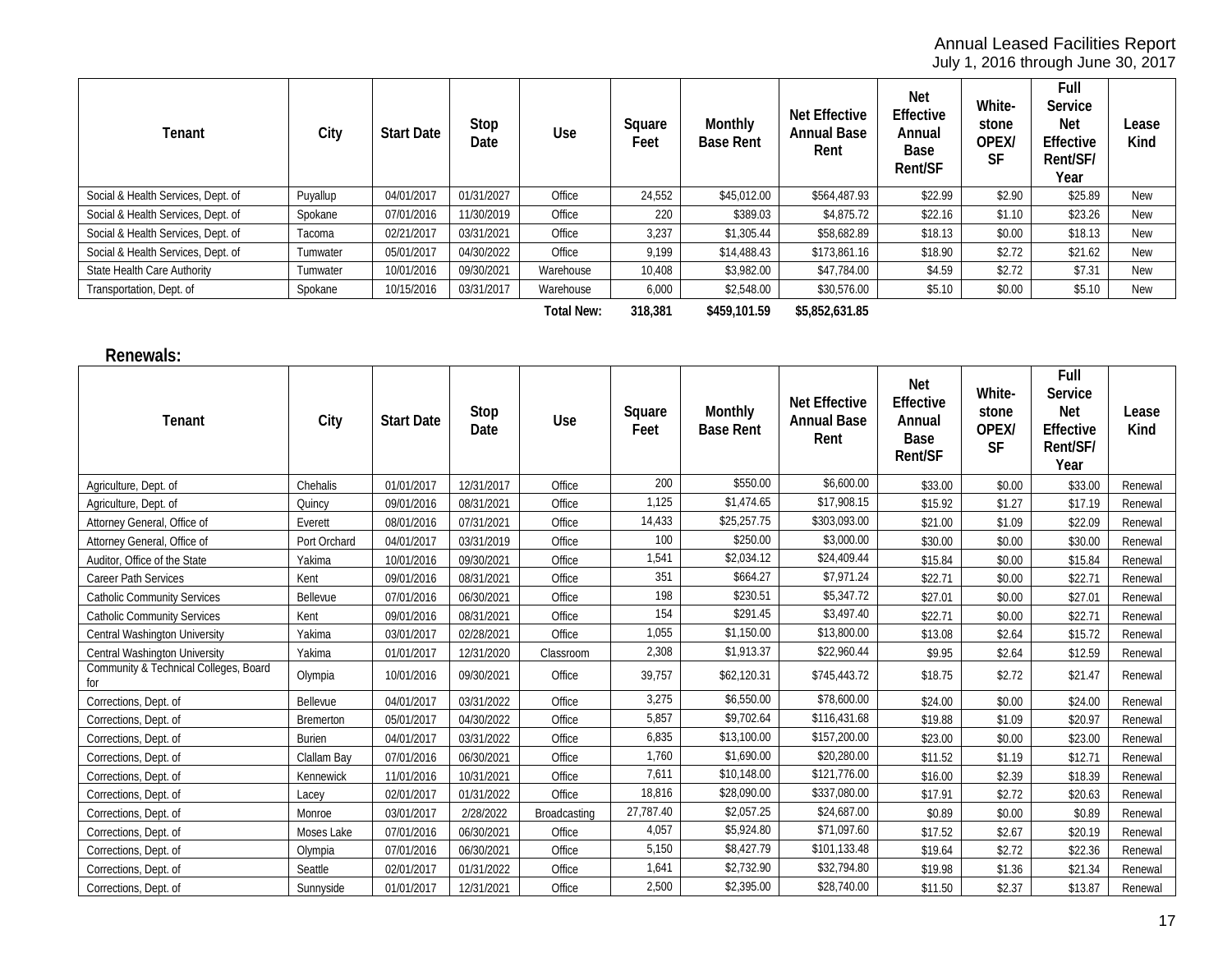July 1, 2016 through June 30, 2017

| Tenant                             | City     | <b>Start Date</b> | Stop<br>Date | <b>Use</b> | Square<br>Feet | Monthly<br><b>Base Rent</b> | Net Effective<br><b>Annual Base</b><br>Rent | Net<br>Effective<br>Annual<br>Base<br>Rent/SF | White-<br>stone<br>OPEX/<br><b>SF</b> | Full<br>Service<br><b>Net</b><br>Effective<br>Rent/SF/<br>Year | Lease<br>Kind |
|------------------------------------|----------|-------------------|--------------|------------|----------------|-----------------------------|---------------------------------------------|-----------------------------------------------|---------------------------------------|----------------------------------------------------------------|---------------|
| Social & Health Services, Dept. of | Puyallup | 04/01/2017        | 01/31/2027   | Office     | 24,552         | \$45,012.00                 | \$564,487.93                                | \$22.99                                       | \$2.90                                | \$25.89                                                        | New           |
| Social & Health Services, Dept. of | Spokane  | 07/01/2016        | 11/30/2019   | Office     | 220            | \$389.03                    | \$4,875.72                                  | \$22.16                                       | \$1.10                                | \$23.26                                                        | New           |
| Social & Health Services, Dept. of | Tacoma   | 02/21/2017        | 03/31/2021   | Office     | 3,237          | \$1,305.44                  | \$58,682.89                                 | \$18.13                                       | \$0.00                                | \$18.13                                                        | New           |
| Social & Health Services, Dept. of | Tumwater | 05/01/2017        | 04/30/2022   | Office     | 9.199          | \$14,488.43                 | \$173,861.16                                | \$18.90                                       | \$2.72                                | \$21.62                                                        | New           |
| State Health Care Authority        | Tumwater | 10/01/2016        | 09/30/2021   | Warehouse  | 10,408         | \$3,982.00                  | \$47,784.00                                 | \$4.59                                        | \$2.72                                | \$7.31                                                         | New           |
| Transportation, Dept. of           | Spokane  | 10/15/2016        | 03/31/2017   | Warehouse  | 6,000          | \$2,548.00                  | \$30,576.00                                 | \$5.10                                        | \$0.00                                | \$5.10                                                         | New           |
|                                    |          |                   |              |            |                |                             |                                             |                                               |                                       |                                                                |               |

**Total New: 318,381 \$459,101.59 \$5,852,631.85**

#### **Renewals:**

| Tenant                                       | City             | <b>Start Date</b> | Stop<br>Date | Use          | Square<br>Feet | Monthly<br><b>Base Rent</b> | <b>Net Effective</b><br><b>Annual Base</b><br>Rent | Net<br>Effective<br>Annual<br><b>Base</b><br><b>Rent/SF</b> | White-<br>stone<br>OPEX/<br><b>SF</b> | Full<br>Service<br><b>Net</b><br>Effective<br>Rent/SF/<br>Year | Lease<br>Kind |
|----------------------------------------------|------------------|-------------------|--------------|--------------|----------------|-----------------------------|----------------------------------------------------|-------------------------------------------------------------|---------------------------------------|----------------------------------------------------------------|---------------|
| Agriculture, Dept. of                        | Chehalis         | 01/01/2017        | 12/31/2017   | Office       | 200            | \$550.00                    | \$6,600.00                                         | \$33.00                                                     | \$0.00                                | \$33.00                                                        | Renewal       |
| Agriculture, Dept. of                        | Quincy           | 09/01/2016        | 08/31/2021   | Office       | 1,125          | \$1,474.65                  | \$17,908.15                                        | \$15.92                                                     | \$1.27                                | \$17.19                                                        | Renewal       |
| Attorney General, Office of                  | Everett          | 08/01/2016        | 07/31/2021   | Office       | 14,433         | \$25,257.75                 | \$303,093.00                                       | \$21.00                                                     | \$1.09                                | \$22.09                                                        | Renewal       |
| Attorney General, Office of                  | Port Orchard     | 04/01/2017        | 03/31/2019   | Office       | 100            | \$250.00                    | \$3,000.00                                         | \$30.00                                                     | \$0.00                                | \$30.00                                                        | Renewal       |
| Auditor, Office of the State                 | Yakima           | 10/01/2016        | 09/30/2021   | Office       | 1,541          | \$2,034.12                  | \$24,409.44                                        | \$15.84                                                     | \$0.00                                | \$15.84                                                        | Renewal       |
| <b>Career Path Services</b>                  | Kent             | 09/01/2016        | 08/31/2021   | Office       | 351            | \$664.27                    | \$7,971.24                                         | \$22.71                                                     | \$0.00                                | \$22.71                                                        | Renewal       |
| <b>Catholic Community Services</b>           | Bellevue         | 07/01/2016        | 06/30/2021   | Office       | 198            | \$230.51                    | \$5,347.72                                         | \$27.01                                                     | \$0.00                                | \$27.01                                                        | Renewal       |
| <b>Catholic Community Services</b>           | Kent             | 09/01/2016        | 08/31/2021   | Office       | 154            | \$291.45                    | \$3,497.40                                         | \$22.71                                                     | \$0.00                                | \$22.71                                                        | Renewal       |
| <b>Central Washington University</b>         | Yakima           | 03/01/2017        | 02/28/2021   | Office       | 1,055          | \$1,150.00                  | \$13,800.00                                        | \$13.08                                                     | \$2.64                                | \$15.72                                                        | Renewal       |
| Central Washington University                | Yakima           | 01/01/2017        | 12/31/2020   | Classroom    | 2,308          | \$1,913.37                  | \$22,960.44                                        | \$9.95                                                      | \$2.64                                | \$12.59                                                        | Renewal       |
| Community & Technical Colleges, Board<br>for | Olympia          | 10/01/2016        | 09/30/2021   | Office       | 39,757         | \$62,120.31                 | \$745,443.72                                       | \$18.75                                                     | \$2.72                                | \$21.47                                                        | Renewal       |
| Corrections, Dept. of                        | Bellevue         | 04/01/2017        | 03/31/2022   | Office       | 3,275          | \$6,550.00                  | \$78,600.00                                        | \$24.00                                                     | \$0.00                                | \$24.00                                                        | Renewal       |
| Corrections, Dept. of                        | <b>Bremerton</b> | 05/01/2017        | 04/30/2022   | Office       | 5,857          | \$9,702.64                  | \$116,431.68                                       | \$19.88                                                     | \$1.09                                | \$20.97                                                        | Renewal       |
| Corrections, Dept. of                        | Burien           | 04/01/2017        | 03/31/2022   | Office       | 6,835          | \$13,100.00                 | \$157,200.00                                       | \$23.00                                                     | \$0.00                                | \$23.00                                                        | Renewal       |
| Corrections, Dept. of                        | Clallam Bay      | 07/01/2016        | 06/30/2021   | Office       | 1,760          | \$1,690.00                  | \$20,280.00                                        | \$11.52                                                     | \$1.19                                | \$12.71                                                        | Renewal       |
| Corrections, Dept. of                        | Kennewick        | 11/01/2016        | 10/31/2021   | Office       | 7,611          | \$10,148.00                 | \$121,776.00                                       | \$16.00                                                     | \$2.39                                | \$18.39                                                        | Renewal       |
| Corrections, Dept. of                        | Lacey            | 02/01/2017        | 01/31/2022   | Office       | 18,816         | \$28,090.00                 | \$337,080.00                                       | \$17.91                                                     | \$2.72                                | \$20.63                                                        | Renewal       |
| Corrections, Dept. of                        | Monroe           | 03/01/2017        | 2/28/2022    | Broadcasting | 27,787.40      | \$2,057.25                  | \$24,687.00                                        | \$0.89                                                      | \$0.00                                | \$0.89                                                         | Renewal       |
| Corrections, Dept. of                        | Moses Lake       | 07/01/2016        | 06/30/2021   | Office       | 4,057          | \$5,924.80                  | \$71,097.60                                        | \$17.52                                                     | \$2.67                                | \$20.19                                                        | Renewal       |
| Corrections, Dept. of                        | Olympia          | 07/01/2016        | 06/30/2021   | Office       | 5,150          | \$8,427.79                  | \$101,133.48                                       | \$19.64                                                     | \$2.72                                | \$22.36                                                        | Renewal       |
| Corrections, Dept. of                        | Seattle          | 02/01/2017        | 01/31/2022   | Office       | 1,641          | \$2,732.90                  | \$32,794.80                                        | \$19.98                                                     | \$1.36                                | \$21.34                                                        | Renewal       |
| Corrections, Dept. of                        | Sunnyside        | 01/01/2017        | 12/31/2021   | Office       | 2,500          | \$2,395.00                  | \$28,740.00                                        | \$11.50                                                     | \$2.37                                | \$13.87                                                        | Renewal       |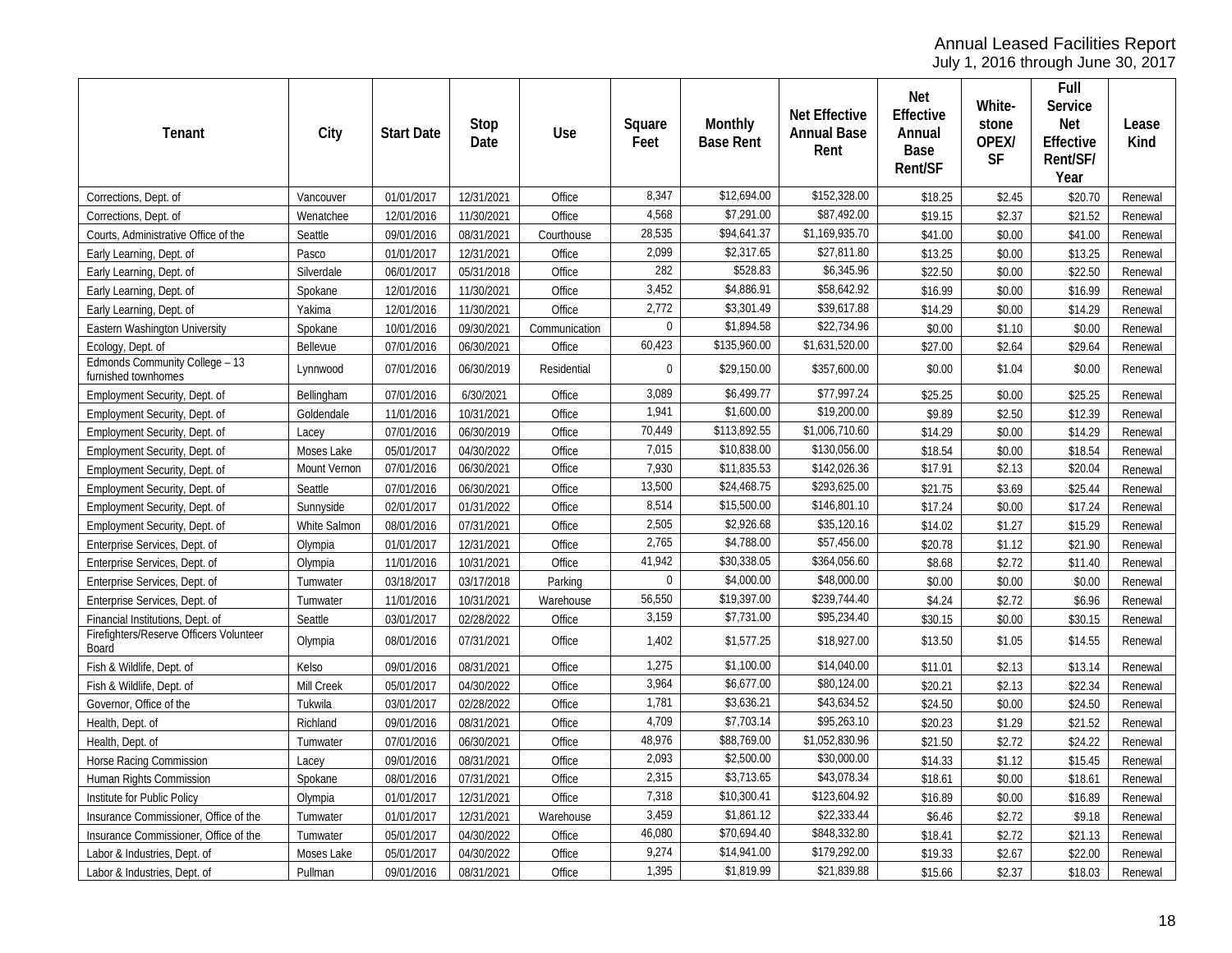July 1, 2016 through June 30, 2017

| Tenant                                                | City              | <b>Start Date</b> | Stop<br>Date | <b>Use</b>    | Square<br>Feet | <b>Monthly</b><br><b>Base Rent</b> | <b>Net Effective</b><br><b>Annual Base</b><br>Rent | Net<br>Effective<br>Annual<br>Base<br>Rent/SF | White-<br>stone<br>OPEX/<br>SF | Full<br>Service<br>Net<br>Effective<br>Rent/SF/<br>Year | Lease<br>Kind |
|-------------------------------------------------------|-------------------|-------------------|--------------|---------------|----------------|------------------------------------|----------------------------------------------------|-----------------------------------------------|--------------------------------|---------------------------------------------------------|---------------|
| Corrections, Dept. of                                 | Vancouver         | 01/01/2017        | 12/31/2021   | Office        | 8,347          | \$12,694.00                        | \$152,328.00                                       | \$18.25                                       | \$2.45                         | \$20.70                                                 | Renewal       |
| Corrections, Dept. of                                 | Wenatchee         | 12/01/2016        | 11/30/2021   | Office        | 4,568          | \$7,291.00                         | \$87,492.00                                        | \$19.15                                       | \$2.37                         | \$21.52                                                 | Renewal       |
| Courts, Administrative Office of the                  | Seattle           | 09/01/2016        | 08/31/2021   | Courthouse    | 28,535         | \$94,641.37                        | \$1,169,935.70                                     | \$41.00                                       | \$0.00                         | \$41.00                                                 | Renewal       |
| Early Learning, Dept. of                              | Pasco             | 01/01/2017        | 12/31/2021   | Office        | 2.099          | \$2,317.65                         | \$27,811.80                                        | \$13.25                                       | \$0.00                         | \$13.25                                                 | Renewal       |
| Early Learning, Dept. of                              | Silverdale        | 06/01/2017        | 05/31/2018   | Office        | 282            | \$528.83                           | \$6,345.96                                         | \$22.50                                       | \$0.00                         | \$22.50                                                 | Renewal       |
| Early Learning, Dept. of                              | Spokane           | 12/01/2016        | 11/30/2021   | Office        | 3,452          | \$4,886.91                         | \$58,642.92                                        | \$16.99                                       | \$0.00                         | \$16.99                                                 | Renewal       |
| Early Learning, Dept. of                              | Yakima            | 12/01/2016        | 11/30/2021   | Office        | 2,772          | \$3,301.49                         | \$39,617.88                                        | \$14.29                                       | \$0.00                         | \$14.29                                                 | Renewal       |
| Eastern Washington University                         | Spokane           | 10/01/2016        | 09/30/2021   | Communication | $\mathbf 0$    | \$1,894.58                         | \$22,734.96                                        | \$0.00                                        | \$1.10                         | \$0.00                                                  | Renewal       |
| Ecology, Dept. of                                     | Bellevue          | 07/01/2016        | 06/30/2021   | Office        | 60,423         | \$135,960.00                       | \$1,631,520.00                                     | \$27.00                                       | \$2.64                         | \$29.64                                                 | Renewal       |
| Edmonds Community College - 13<br>furnished townhomes | Lynnwood          | 07/01/2016        | 06/30/2019   | Residential   | $\mathbf 0$    | \$29,150.00                        | \$357,600.00                                       | \$0.00                                        | \$1.04                         | \$0.00                                                  | Renewal       |
| Employment Security, Dept. of                         | Bellingham        | 07/01/2016        | 6/30/2021    | Office        | 3,089          | \$6,499.77                         | \$77,997.24                                        | \$25.25                                       | \$0.00                         | \$25.25                                                 | Renewal       |
| Employment Security, Dept. of                         | Goldendale        | 11/01/2016        | 10/31/2021   | Office        | 1,941          | \$1,600.00                         | \$19,200.00                                        | \$9.89                                        | \$2.50                         | \$12.39                                                 | Renewal       |
| Employment Security, Dept. of                         | Lacey             | 07/01/2016        | 06/30/2019   | Office        | 70,449         | \$113,892.55                       | \$1,006,710.60                                     | \$14.29                                       | \$0.00                         | \$14.29                                                 | Renewal       |
| Employment Security, Dept. of                         | Moses Lake        | 05/01/2017        | 04/30/2022   | Office        | 7,015          | \$10,838.00                        | \$130,056.00                                       | \$18.54                                       | \$0.00                         | \$18.54                                                 | Renewal       |
| Employment Security, Dept. of                         | Mount Vernon      | 07/01/2016        | 06/30/2021   | Office        | 7,930          | \$11,835.53                        | \$142,026.36                                       | \$17.91                                       | \$2.13                         | \$20.04                                                 | Renewal       |
| Employment Security, Dept. of                         | Seattle           | 07/01/2016        | 06/30/2021   | Office        | 13,500         | \$24,468.75                        | \$293,625.00                                       | \$21.75                                       | \$3.69                         | \$25.44                                                 | Renewal       |
| Employment Security, Dept. of                         | Sunnyside         | 02/01/2017        | 01/31/2022   | Office        | 8,514          | \$15,500.00                        | \$146,801.10                                       | \$17.24                                       | \$0.00                         | \$17.24                                                 | Renewal       |
| Employment Security, Dept. of                         | White Salmon      | 08/01/2016        | 07/31/2021   | Office        | 2,505          | \$2,926.68                         | \$35,120.16                                        | \$14.02                                       | \$1.27                         | \$15.29                                                 | Renewal       |
| Enterprise Services, Dept. of                         | Olympia           | 01/01/2017        | 12/31/2021   | Office        | 2,765          | \$4,788.00                         | \$57,456.00                                        | \$20.78                                       | \$1.12                         | \$21.90                                                 | Renewal       |
| Enterprise Services, Dept. of                         | Olympia           | 11/01/2016        | 10/31/2021   | Office        | 41,942         | \$30,338.05                        | \$364,056.60                                       | \$8.68                                        | \$2.72                         | \$11.40                                                 | Renewal       |
| Enterprise Services, Dept. of                         | Tumwater          | 03/18/2017        | 03/17/2018   | Parking       | $\theta$       | \$4,000.00                         | \$48,000.00                                        | \$0.00                                        | \$0.00                         | \$0.00                                                  | Renewal       |
| Enterprise Services, Dept. of                         | Tumwater          | 11/01/2016        | 10/31/2021   | Warehouse     | 56,550         | \$19,397.00                        | \$239,744.40                                       | \$4.24                                        | \$2.72                         | \$6.96                                                  | Renewal       |
| Financial Institutions, Dept. of                      | Seattle           | 03/01/2017        | 02/28/2022   | Office        | 3,159          | \$7,731.00                         | \$95,234.40                                        | \$30.15                                       | \$0.00                         | \$30.15                                                 | Renewal       |
| Firefighters/Reserve Officers Volunteer<br>Board      | Olympia           | 08/01/2016        | 07/31/2021   | Office        | 1,402          | \$1,577.25                         | \$18,927.00                                        | \$13.50                                       | \$1.05                         | \$14.55                                                 | Renewal       |
| Fish & Wildlife, Dept. of                             | Kelso             | 09/01/2016        | 08/31/2021   | Office        | 1,275          | \$1,100.00                         | \$14,040.00                                        | \$11.01                                       | \$2.13                         | \$13.14                                                 | Renewal       |
| Fish & Wildlife, Dept. of                             | <b>Mill Creek</b> | 05/01/2017        | 04/30/2022   | Office        | 3,964          | \$6,677.00                         | \$80,124.00                                        | \$20.21                                       | \$2.13                         | \$22.34                                                 | Renewal       |
| Governor, Office of the                               | Tukwila           | 03/01/2017        | 02/28/2022   | Office        | 1,781          | \$3,636.21                         | \$43,634.52                                        | \$24.50                                       | \$0.00                         | \$24.50                                                 | Renewal       |
| Health, Dept. of                                      | Richland          | 09/01/2016        | 08/31/2021   | Office        | 4,709          | \$7,703.14                         | \$95,263.10                                        | \$20.23                                       | \$1.29                         | \$21.52                                                 | Renewal       |
| Health, Dept. of                                      | Tumwater          | 07/01/2016        | 06/30/2021   | Office        | 48,976         | \$88,769.00                        | \$1,052,830.96                                     | \$21.50                                       | \$2.72                         | \$24.22                                                 | Renewal       |
| Horse Racing Commission                               | Lacey             | 09/01/2016        | 08/31/2021   | Office        | 2,093          | \$2,500.00                         | \$30,000.00                                        | \$14.33                                       | \$1.12                         | \$15.45                                                 | Renewal       |
| Human Rights Commission                               | Spokane           | 08/01/2016        | 07/31/2021   | Office        | 2,315          | \$3,713.65                         | \$43,078.34                                        | \$18.61                                       | \$0.00                         | \$18.61                                                 | Renewal       |
| Institute for Public Policy                           | Olympia           | 01/01/2017        | 12/31/2021   | Office        | 7,318          | \$10,300.41                        | \$123,604.92                                       | \$16.89                                       | \$0.00                         | \$16.89                                                 | Renewal       |
| Insurance Commissioner, Office of the                 | Tumwater          | 01/01/2017        | 12/31/2021   | Warehouse     | 3,459          | \$1,861.12                         | \$22,333.44                                        | \$6.46                                        | \$2.72                         | \$9.18                                                  | Renewal       |
| Insurance Commissioner, Office of the                 | Tumwater          | 05/01/2017        | 04/30/2022   | Office        | 46,080         | \$70,694.40                        | \$848,332.80                                       | \$18.41                                       | \$2.72                         | \$21.13                                                 | Renewal       |
| Labor & Industries, Dept. of                          | Moses Lake        | 05/01/2017        | 04/30/2022   | Office        | 9,274          | \$14,941.00                        | \$179,292.00                                       | \$19.33                                       | \$2.67                         | \$22.00                                                 | Renewal       |
| Labor & Industries, Dept. of                          | Pullman           | 09/01/2016        | 08/31/2021   | Office        | 1,395          | \$1,819.99                         | \$21,839.88                                        | \$15.66                                       | \$2.37                         | \$18.03                                                 | Renewal       |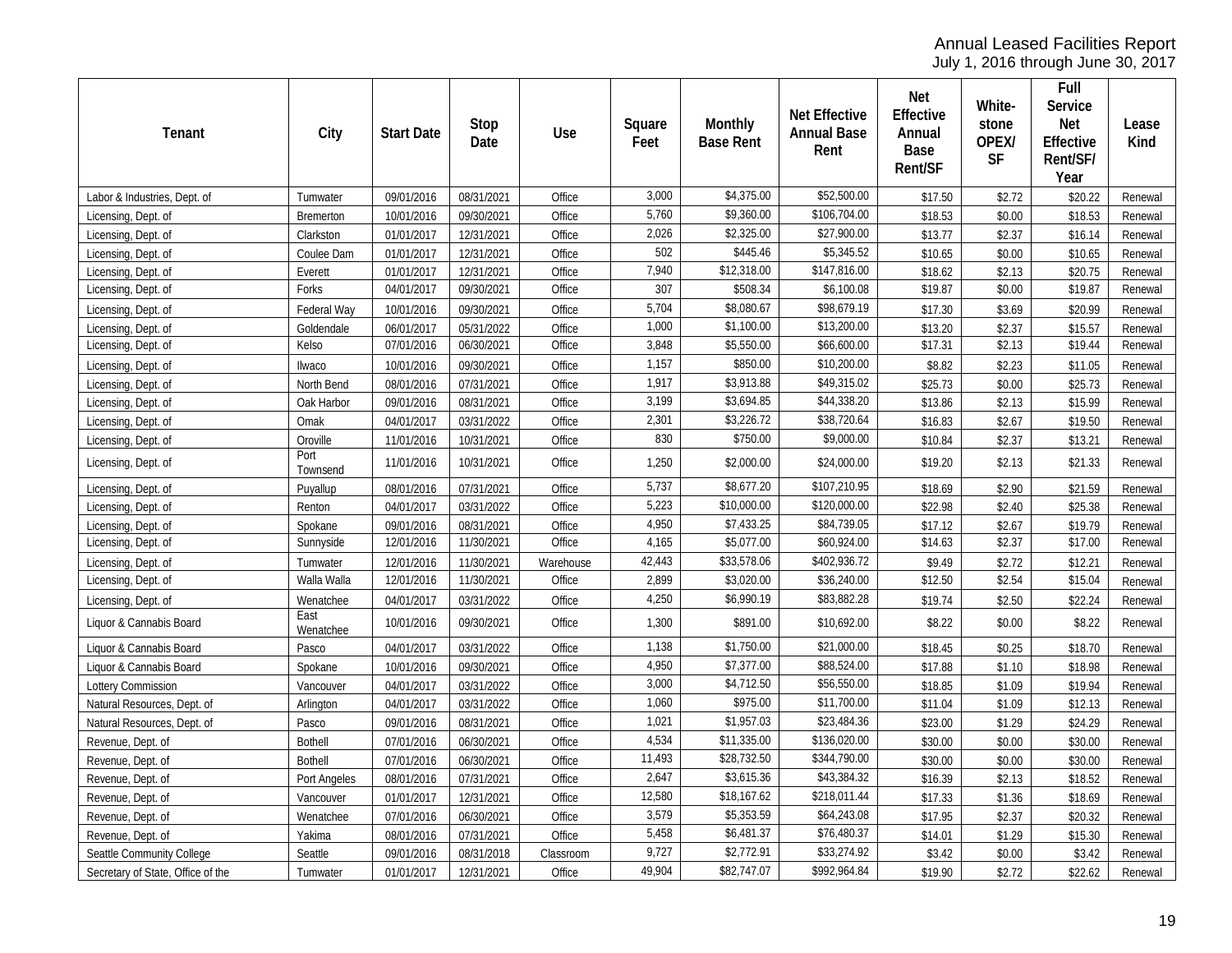July 1, 2016 through June 30, 2017

| Tenant                            | City              | <b>Start Date</b> | Stop<br>Date | <b>Use</b> | Square<br>Feet | Monthly<br><b>Base Rent</b> | <b>Net Effective</b><br><b>Annual Base</b><br>Rent | Net<br>Effective<br>Annual<br>Base<br>Rent/SF | White-<br>stone<br>OPEX/<br><b>SF</b> | Full<br>Service<br><b>Net</b><br>Effective<br>Rent/SF/<br>Year | Lease<br>Kind |
|-----------------------------------|-------------------|-------------------|--------------|------------|----------------|-----------------------------|----------------------------------------------------|-----------------------------------------------|---------------------------------------|----------------------------------------------------------------|---------------|
| Labor & Industries, Dept. of      | Tumwater          | 09/01/2016        | 08/31/2021   | Office     | 3,000          | \$4,375.00                  | \$52,500.00                                        | \$17.50                                       | \$2.72                                | \$20.22                                                        | Renewal       |
| Licensing, Dept. of               | Bremerton         | 10/01/2016        | 09/30/2021   | Office     | 5,760          | \$9,360.00                  | \$106,704.00                                       | \$18.53                                       | \$0.00                                | \$18.53                                                        | Renewal       |
| Licensing, Dept. of               | Clarkston         | 01/01/2017        | 12/31/2021   | Office     | 2,026          | \$2,325.00                  | \$27,900.00                                        | \$13.77                                       | \$2.37                                | \$16.14                                                        | Renewal       |
| Licensing, Dept. of               | Coulee Dam        | 01/01/2017        | 12/31/2021   | Office     | 502            | \$445.46                    | \$5,345.52                                         | \$10.65                                       | \$0.00                                | \$10.65                                                        | Renewal       |
| Licensing, Dept. of               | Everett           | 01/01/2017        | 12/31/2021   | Office     | 7,940          | \$12,318.00                 | \$147,816.00                                       | \$18.62                                       | \$2.13                                | \$20.75                                                        | Renewal       |
| Licensing, Dept. of               | Forks             | 04/01/2017        | 09/30/2021   | Office     | 307            | \$508.34                    | \$6,100.08                                         | \$19.87                                       | \$0.00                                | \$19.87                                                        | Renewal       |
| Licensing, Dept. of               | Federal Way       | 10/01/2016        | 09/30/2021   | Office     | 5,704          | \$8,080.67                  | \$98,679.19                                        | \$17.30                                       | \$3.69                                | \$20.99                                                        | Renewal       |
| Licensing, Dept. of               | Goldendale        | 06/01/2017        | 05/31/2022   | Office     | 1,000          | \$1,100.00                  | \$13,200.00                                        | \$13.20                                       | \$2.37                                | \$15.57                                                        | Renewal       |
| Licensing, Dept. of               | Kelso             | 07/01/2016        | 06/30/2021   | Office     | 3,848          | \$5,550.00                  | \$66,600.00                                        | \$17.31                                       | \$2.13                                | \$19.44                                                        | Renewal       |
| Licensing, Dept. of               | Ilwaco            | 10/01/2016        | 09/30/2021   | Office     | 1,157          | \$850.00                    | \$10,200.00                                        | \$8.82                                        | \$2.23                                | \$11.05                                                        | Renewal       |
| Licensing, Dept. of               | North Bend        | 08/01/2016        | 07/31/2021   | Office     | 1,917          | \$3,913.88                  | \$49,315.02                                        | \$25.73                                       | \$0.00                                | \$25.73                                                        | Renewal       |
| Licensing, Dept. of               | Oak Harbor        | 09/01/2016        | 08/31/2021   | Office     | 3,199          | \$3,694.85                  | \$44,338.20                                        | \$13.86                                       | \$2.13                                | \$15.99                                                        | Renewal       |
| Licensing, Dept. of               | Omak              | 04/01/2017        | 03/31/2022   | Office     | 2,301          | \$3,226.72                  | \$38,720.64                                        | \$16.83                                       | \$2.67                                | \$19.50                                                        | Renewal       |
| Licensing, Dept. of               | Oroville          | 11/01/2016        | 10/31/2021   | Office     | 830            | \$750.00                    | \$9,000.00                                         | \$10.84                                       | \$2.37                                | \$13.21                                                        | Renewal       |
| Licensing, Dept. of               | Port<br>Townsend  | 11/01/2016        | 10/31/2021   | Office     | 1,250          | \$2,000.00                  | \$24,000.00                                        | \$19.20                                       | \$2.13                                | \$21.33                                                        | Renewal       |
| Licensing, Dept. of               | Puyallup          | 08/01/2016        | 07/31/2021   | Office     | 5,737          | \$8,677.20                  | \$107,210.95                                       | \$18.69                                       | \$2.90                                | \$21.59                                                        | Renewal       |
| Licensing, Dept. of               | Renton            | 04/01/2017        | 03/31/2022   | Office     | 5,223          | \$10,000.00                 | \$120,000.00                                       | \$22.98                                       | \$2.40                                | \$25.38                                                        | Renewal       |
| Licensing, Dept. of               | Spokane           | 09/01/2016        | 08/31/2021   | Office     | 4,950          | \$7,433.25                  | \$84,739.05                                        | \$17.12                                       | \$2.67                                | \$19.79                                                        | Renewal       |
| Licensing, Dept. of               | Sunnyside         | 12/01/2016        | 11/30/2021   | Office     | 4,165          | \$5,077.00                  | \$60,924.00                                        | \$14.63                                       | \$2.37                                | \$17.00                                                        | Renewal       |
| Licensing, Dept. of               | Tumwater          | 12/01/2016        | 11/30/2021   | Warehouse  | 42,443         | \$33,578.06                 | \$402,936.72                                       | \$9.49                                        | \$2.72                                | \$12.21                                                        | Renewal       |
| Licensing, Dept. of               | Walla Walla       | 12/01/2016        | 11/30/2021   | Office     | 2,899          | \$3,020.00                  | \$36,240.00                                        | \$12.50                                       | \$2.54                                | \$15.04                                                        | Renewal       |
| Licensing, Dept. of               | Wenatchee         | 04/01/2017        | 03/31/2022   | Office     | 4,250          | \$6,990.19                  | \$83,882.28                                        | \$19.74                                       | \$2.50                                | \$22.24                                                        | Renewal       |
| Liquor & Cannabis Board           | East<br>Wenatchee | 10/01/2016        | 09/30/2021   | Office     | 1,300          | \$891.00                    | \$10,692.00                                        | \$8.22                                        | \$0.00                                | \$8.22                                                         | Renewal       |
| Liquor & Cannabis Board           | Pasco             | 04/01/2017        | 03/31/2022   | Office     | 1,138          | \$1,750.00                  | \$21,000.00                                        | \$18.45                                       | \$0.25                                | \$18.70                                                        | Renewal       |
| Liquor & Cannabis Board           | Spokane           | 10/01/2016        | 09/30/2021   | Office     | 4,950          | \$7,377.00                  | \$88,524.00                                        | \$17.88                                       | \$1.10                                | \$18.98                                                        | Renewal       |
| Lottery Commission                | Vancouver         | 04/01/2017        | 03/31/2022   | Office     | 3,000          | \$4,712.50                  | \$56,550.00                                        | \$18.85                                       | \$1.09                                | \$19.94                                                        | Renewal       |
| Natural Resources, Dept. of       | Arlington         | 04/01/2017        | 03/31/2022   | Office     | 1,060          | \$975.00                    | \$11,700.00                                        | \$11.04                                       | \$1.09                                | \$12.13                                                        | Renewal       |
| Natural Resources, Dept. of       | Pasco             | 09/01/2016        | 08/31/2021   | Office     | 1,021          | \$1,957.03                  | \$23,484.36                                        | \$23.00                                       | \$1.29                                | \$24.29                                                        | Renewal       |
| Revenue, Dept. of                 | <b>Bothell</b>    | 07/01/2016        | 06/30/2021   | Office     | 4,534          | \$11,335.00                 | \$136,020.00                                       | \$30.00                                       | \$0.00                                | \$30.00                                                        | Renewal       |
| Revenue, Dept. of                 | <b>Bothell</b>    | 07/01/2016        | 06/30/2021   | Office     | 11,493         | \$28,732.50                 | \$344,790.00                                       | \$30.00                                       | \$0.00                                | \$30.00                                                        | Renewal       |
| Revenue, Dept. of                 | Port Angeles      | 08/01/2016        | 07/31/2021   | Office     | 2,647          | \$3,615.36                  | \$43,384.32                                        | \$16.39                                       | \$2.13                                | \$18.52                                                        | Renewal       |
| Revenue, Dept. of                 | Vancouver         | 01/01/2017        | 12/31/2021   | Office     | 12,580         | \$18,167.62                 | \$218,011.44                                       | \$17.33                                       | \$1.36                                | \$18.69                                                        | Renewal       |
| Revenue, Dept. of                 | Wenatchee         | 07/01/2016        | 06/30/2021   | Office     | 3,579          | \$5,353.59                  | \$64,243.08                                        | \$17.95                                       | \$2.37                                | \$20.32                                                        | Renewal       |
| Revenue, Dept. of                 | Yakima            | 08/01/2016        | 07/31/2021   | Office     | 5,458          | \$6,481.37                  | \$76,480.37                                        | \$14.01                                       | \$1.29                                | \$15.30                                                        | Renewal       |
| Seattle Community College         | Seattle           | 09/01/2016        | 08/31/2018   | Classroom  | 9,727          | \$2,772.91                  | \$33,274.92                                        | \$3.42                                        | \$0.00                                | \$3.42                                                         | Renewal       |
| Secretary of State, Office of the | Tumwater          | 01/01/2017        | 12/31/2021   | Office     | 49,904         | \$82,747.07                 | \$992,964.84                                       | \$19.90                                       | \$2.72                                | \$22.62                                                        | Renewal       |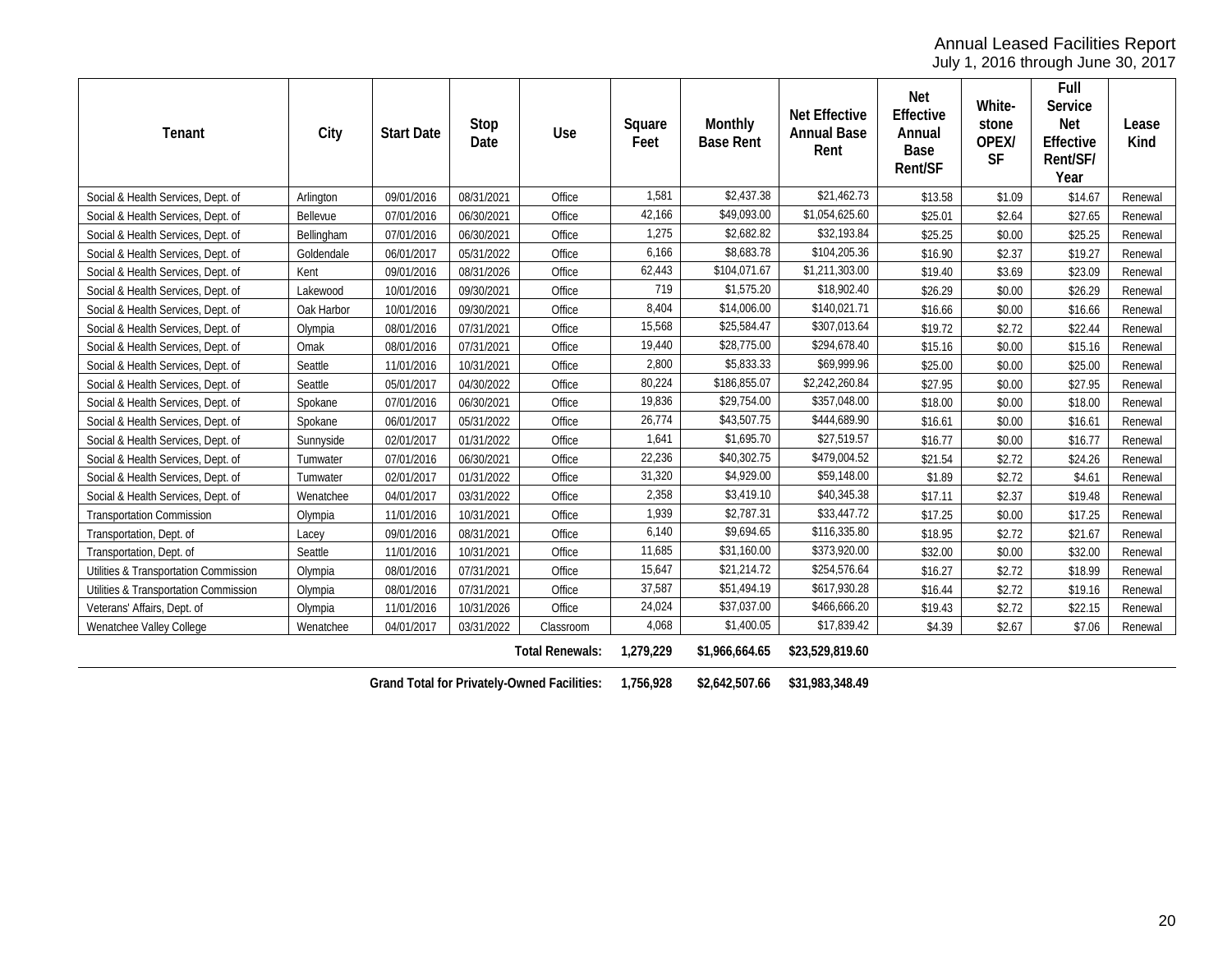July 1, 2016 through June 30, 2017

| Tenant                                | City       | <b>Start Date</b> | Stop<br>Date | Use                    | Square<br>Feet | Monthly<br><b>Base Rent</b> | <b>Net Effective</b><br><b>Annual Base</b><br>Rent | Net<br>Effective<br>Annual<br>Base<br>Rent/SF | White-<br>stone<br>OPEX/<br><b>SF</b> | Full<br>Service<br><b>Net</b><br>Effective<br>Rent/SF/<br>Year | Lease<br>Kind |
|---------------------------------------|------------|-------------------|--------------|------------------------|----------------|-----------------------------|----------------------------------------------------|-----------------------------------------------|---------------------------------------|----------------------------------------------------------------|---------------|
| Social & Health Services, Dept. of    | Arlington  | 09/01/2016        | 08/31/2021   | Office                 | 1,581          | \$2,437.38                  | \$21,462.73                                        | \$13.58                                       | \$1.09                                | \$14.67                                                        | Renewal       |
| Social & Health Services, Dept. of    | Bellevue   | 07/01/2016        | 06/30/2021   | Office                 | 42,166         | \$49,093.00                 | \$1,054,625.60                                     | \$25.01                                       | \$2.64                                | \$27.65                                                        | Renewal       |
| Social & Health Services, Dept. of    | Bellingham | 07/01/2016        | 06/30/2021   | Office                 | 1,275          | \$2,682.82                  | \$32,193.84                                        | \$25.25                                       | \$0.00                                | \$25.25                                                        | Renewal       |
| Social & Health Services, Dept. of    | Goldendale | 06/01/2017        | 05/31/2022   | Office                 | 6,166          | \$8,683.78                  | \$104,205.36                                       | \$16.90                                       | \$2.37                                | \$19.27                                                        | Renewal       |
| Social & Health Services, Dept. of    | Kent       | 09/01/2016        | 08/31/2026   | Office                 | 62,443         | \$104,071.67                | \$1,211,303.00                                     | \$19.40                                       | \$3.69                                | \$23.09                                                        | Renewal       |
| Social & Health Services, Dept. of    | Lakewood   | 10/01/2016        | 09/30/2021   | Office                 | 719            | \$1,575.20                  | \$18,902.40                                        | \$26.29                                       | \$0.00                                | \$26.29                                                        | Renewal       |
| Social & Health Services, Dept. of    | Oak Harbor | 10/01/2016        | 09/30/2021   | Office                 | 8,404          | \$14,006.00                 | \$140,021.71                                       | \$16.66                                       | \$0.00                                | \$16.66                                                        | Renewal       |
| Social & Health Services, Dept. of    | Olympia    | 08/01/2016        | 07/31/2021   | Office                 | 15,568         | \$25,584.47                 | \$307,013.64                                       | \$19.72                                       | \$2.72                                | \$22.44                                                        | Renewal       |
| Social & Health Services, Dept. of    | Omak       | 08/01/2016        | 07/31/2021   | Office                 | 19,440         | \$28,775.00                 | \$294,678.40                                       | \$15.16                                       | \$0.00                                | \$15.16                                                        | Renewal       |
| Social & Health Services, Dept. of    | Seattle    | 11/01/2016        | 10/31/2021   | Office                 | 2,800          | \$5,833.33                  | \$69,999.96                                        | \$25.00                                       | \$0.00                                | \$25.00                                                        | Renewal       |
| Social & Health Services, Dept. of    | Seattle    | 05/01/2017        | 04/30/2022   | Office                 | 80,224         | \$186,855.07                | \$2,242,260.84                                     | \$27.95                                       | \$0.00                                | \$27.95                                                        | Renewal       |
| Social & Health Services, Dept. of    | Spokane    | 07/01/2016        | 06/30/2021   | Office                 | 19,836         | \$29,754.00                 | \$357,048.00                                       | \$18.00                                       | \$0.00                                | \$18.00                                                        | Renewal       |
| Social & Health Services, Dept. of    | Spokane    | 06/01/2017        | 05/31/2022   | Office                 | 26,774         | \$43,507.75                 | \$444,689.90                                       | \$16.61                                       | \$0.00                                | \$16.61                                                        | Renewal       |
| Social & Health Services, Dept. of    | Sunnyside  | 02/01/2017        | 01/31/2022   | Office                 | 1,641          | \$1,695.70                  | \$27,519.57                                        | \$16.77                                       | \$0.00                                | \$16.77                                                        | Renewal       |
| Social & Health Services, Dept. of    | Tumwater   | 07/01/2016        | 06/30/2021   | Office                 | 22,236         | \$40,302.75                 | \$479,004.52                                       | \$21.54                                       | \$2.72                                | \$24.26                                                        | Renewal       |
| Social & Health Services, Dept. of    | Tumwater   | 02/01/2017        | 01/31/2022   | Office                 | 31,320         | \$4,929.00                  | \$59,148.00                                        | \$1.89                                        | \$2.72                                | \$4.61                                                         | Renewal       |
| Social & Health Services, Dept. of    | Wenatchee  | 04/01/2017        | 03/31/2022   | Office                 | 2,358          | \$3,419.10                  | \$40,345.38                                        | \$17.11                                       | \$2.37                                | \$19.48                                                        | Renewal       |
| <b>Transportation Commission</b>      | Olympia    | 11/01/2016        | 10/31/2021   | Office                 | 1,939          | \$2,787.31                  | \$33,447.72                                        | \$17.25                                       | \$0.00                                | \$17.25                                                        | Renewal       |
| Transportation, Dept. of              | Lacey      | 09/01/2016        | 08/31/2021   | Office                 | 6,140          | \$9,694.65                  | \$116,335.80                                       | \$18.95                                       | \$2.72                                | \$21.67                                                        | Renewal       |
| Transportation, Dept. of              | Seattle    | 11/01/2016        | 10/31/2021   | Office                 | 11,685         | \$31,160.00                 | \$373,920.00                                       | \$32.00                                       | \$0.00                                | \$32.00                                                        | Renewal       |
| Utilities & Transportation Commission | Olympia    | 08/01/2016        | 07/31/2021   | Office                 | 15,647         | \$21,214.72                 | \$254,576.64                                       | \$16.27                                       | \$2.72                                | \$18.99                                                        | Renewal       |
| Utilities & Transportation Commission | Olympia    | 08/01/2016        | 07/31/2021   | Office                 | 37,587         | \$51,494.19                 | \$617,930.28                                       | \$16.44                                       | \$2.72                                | \$19.16                                                        | Renewal       |
| Veterans' Affairs, Dept. of           | Olympia    | 11/01/2016        | 10/31/2026   | Office                 | 24,024         | \$37,037.00                 | \$466,666.20                                       | \$19.43                                       | \$2.72                                | \$22.15                                                        | Renewal       |
| Wenatchee Valley College              | Wenatchee  | 04/01/2017        | 03/31/2022   | Classroom              | 4,068          | \$1,400.05                  | \$17,839.42                                        | \$4.39                                        | \$2.67                                | \$7.06                                                         | Renewal       |
|                                       |            |                   |              | <b>Total Renewals:</b> | 1,279,229      | \$1,966,664.65              | \$23,529,819.60                                    |                                               |                                       |                                                                |               |

**Grand Total for Privately-Owned Facilities: 1,756,928 \$2,642,507.66 \$31,983,348.49**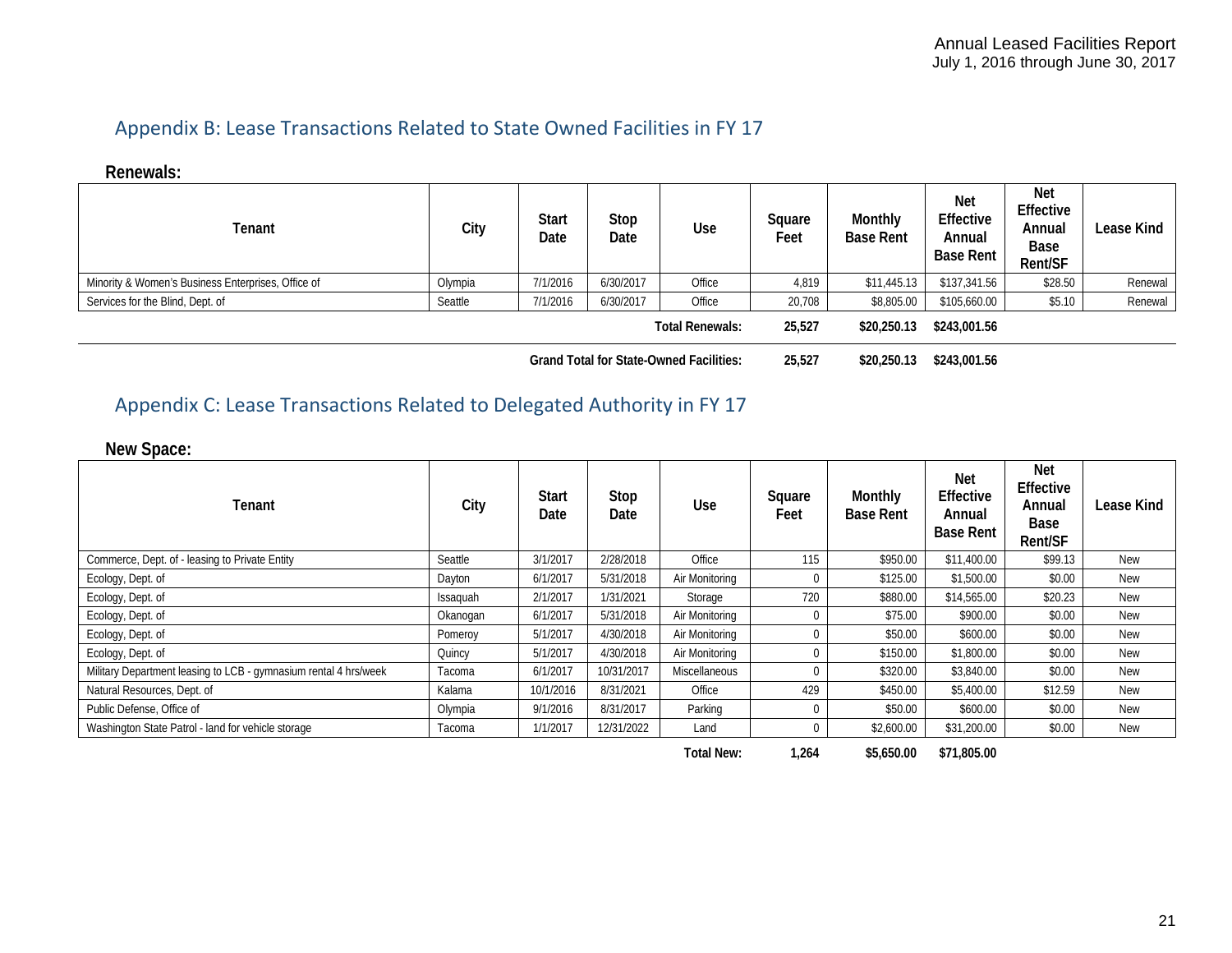# Appendix B: Lease Transactions Related to State Owned Facilities in FY 17

**Renewals:**

| Tenant                                             | City    | Start<br>Date | Stop<br>Date | Use                                            | Square<br>Feet | Monthly<br><b>Base Rent</b> | Net<br>Effective<br>Annual<br><b>Base Rent</b> | <b>Net</b><br>Effective<br>Annual<br>Base<br>Rent/SF | Lease Kind |
|----------------------------------------------------|---------|---------------|--------------|------------------------------------------------|----------------|-----------------------------|------------------------------------------------|------------------------------------------------------|------------|
| Minority & Women's Business Enterprises, Office of | Olympia | 7/1/2016      | 6/30/2017    | Office                                         | 4,819          | \$11,445.13                 | \$137,341.56                                   | \$28.50                                              | Renewal    |
| Services for the Blind, Dept. of                   | Seattle | 7/1/2016      | 6/30/2017    | Office                                         | 20,708         | \$8,805.00                  | \$105,660.00                                   | \$5.10                                               | Renewal    |
|                                                    |         |               |              | <b>Total Renewals:</b>                         | 25,527         | \$20,250.13                 | \$243,001.56                                   |                                                      |            |
|                                                    |         |               |              | <b>Grand Total for State-Owned Facilities:</b> | 25.527         | \$20,250.13                 | \$243,001.56                                   |                                                      |            |

## <span id="page-20-0"></span>Appendix C: Lease Transactions Related to Delegated Authority in FY 17

**New Space:**

<span id="page-20-1"></span>

| Tenant                                                           | City     | Start<br>Date | Stop<br>Date | Use            | Square<br>Feet | Monthly<br><b>Base Rent</b> | <b>Net</b><br>Effective<br>Annual<br><b>Base Rent</b> | <b>Net</b><br>Effective<br>Annual<br>Base<br><b>Rent/SF</b> | Lease Kind |
|------------------------------------------------------------------|----------|---------------|--------------|----------------|----------------|-----------------------------|-------------------------------------------------------|-------------------------------------------------------------|------------|
| Commerce, Dept. of - leasing to Private Entity                   | Seattle  | 3/1/2017      | 2/28/2018    | Office         | 115            | \$950.00                    | \$11,400.00                                           | \$99.13                                                     | <b>New</b> |
| Ecology, Dept. of                                                | Dayton   | 6/1/2017      | 5/31/2018    | Air Monitoring | 0              | \$125.00                    | \$1,500.00                                            | \$0.00                                                      | <b>New</b> |
| Ecology, Dept. of                                                | Issaguah | 2/1/2017      | 1/31/2021    | Storage        | 720            | \$880.00                    | \$14,565.00                                           | \$20.23                                                     | <b>New</b> |
| Ecology, Dept. of                                                | Okanogan | 6/1/2017      | 5/31/2018    | Air Monitoring | 0              | \$75.00                     | \$900.00                                              | \$0.00                                                      | <b>New</b> |
| Ecology, Dept. of                                                | Pomeroy  | 5/1/2017      | 4/30/2018    | Air Monitoring | 0              | \$50.00                     | \$600.00                                              | \$0.00                                                      | <b>New</b> |
| Ecology, Dept. of                                                | Quincy   | 5/1/2017      | 4/30/2018    | Air Monitorina | 0              | \$150.00                    | \$1,800.00                                            | \$0.00                                                      | <b>New</b> |
| Military Department leasing to LCB - gymnasium rental 4 hrs/week | Tacoma   | 6/1/2017      | 10/31/2017   | Miscellaneous  | 0              | \$320.00                    | \$3,840.00                                            | \$0.00                                                      | <b>New</b> |
| Natural Resources, Dept. of                                      | Kalama   | 10/1/2016     | 8/31/2021    | Office         | 429            | \$450.00                    | \$5,400.00                                            | \$12.59                                                     | <b>New</b> |
| Public Defense, Office of                                        | Olympia  | 9/1/2016      | 8/31/2017    | Parking        | 0              | \$50.00                     | \$600.00                                              | \$0.00                                                      | <b>New</b> |
| Washington State Patrol - land for vehicle storage               | Tacoma   | 1/1/2017      | 12/31/2022   | Land           | 0              | \$2,600.00                  | \$31,200.00                                           | \$0.00                                                      | <b>New</b> |

**Total New: 1,264 \$5,650.00 \$71,805.00**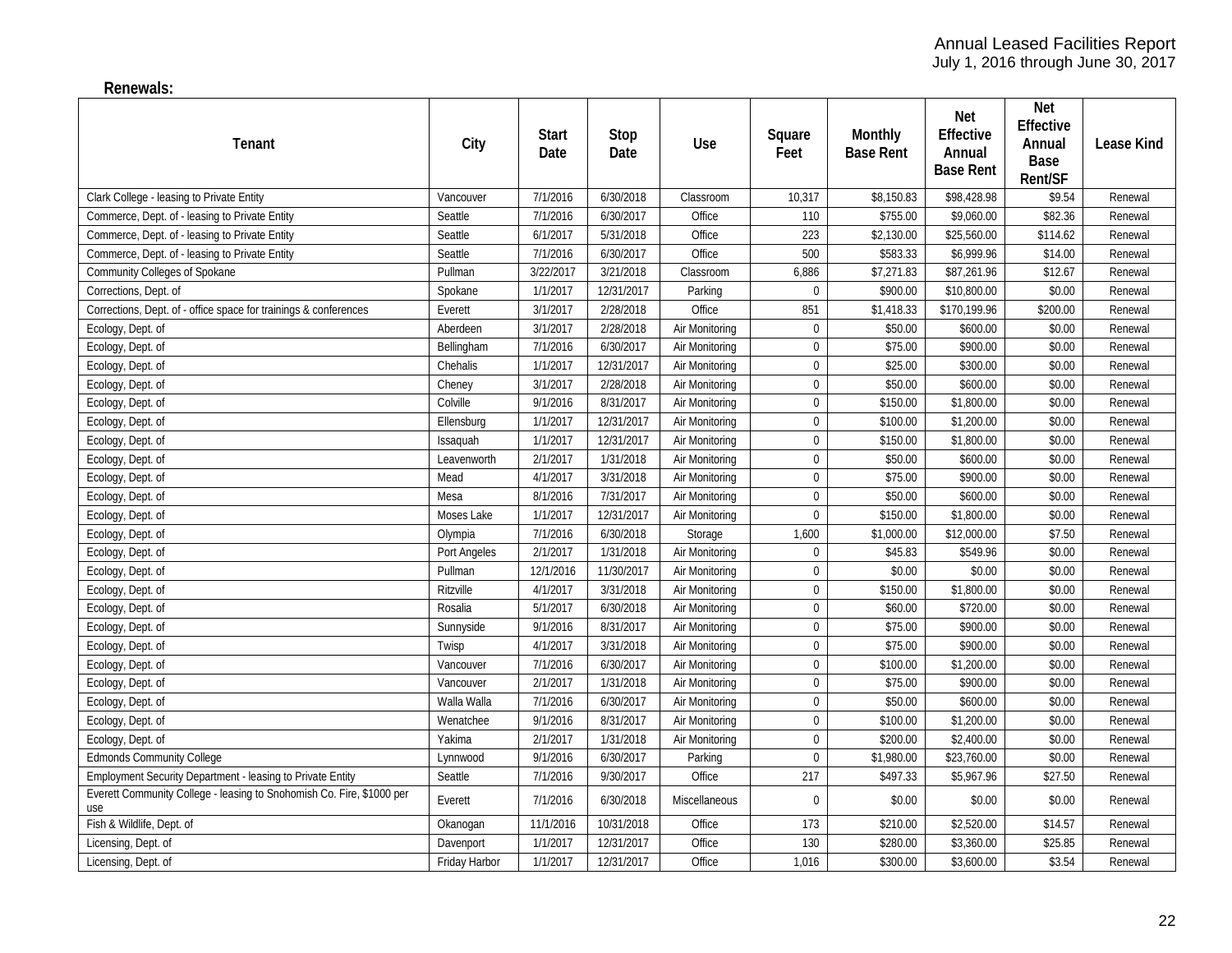**Renewals:**

| Tenant                                                                       | City          | Start<br>Date | Stop<br>Date | Use            | Square<br>Feet   | Monthly<br><b>Base Rent</b> | Net<br>Effective<br>Annual<br><b>Base Rent</b> | <b>Net</b><br>Effective<br>Annual<br>Base<br>Rent/SF | Lease Kind |
|------------------------------------------------------------------------------|---------------|---------------|--------------|----------------|------------------|-----------------------------|------------------------------------------------|------------------------------------------------------|------------|
| Clark College - leasing to Private Entity                                    | Vancouver     | 7/1/2016      | 6/30/2018    | Classroom      | 10,317           | \$8,150.83                  | \$98,428.98                                    | \$9.54                                               | Renewal    |
| Commerce, Dept. of - leasing to Private Entity                               | Seattle       | 7/1/2016      | 6/30/2017    | Office         | 110              | \$755.00                    | \$9,060.00                                     | \$82.36                                              | Renewal    |
| Commerce, Dept. of - leasing to Private Entity                               | Seattle       | 6/1/2017      | 5/31/2018    | Office         | 223              | \$2,130.00                  | \$25,560.00                                    | \$114.62                                             | Renewal    |
| Commerce, Dept. of - leasing to Private Entity                               | Seattle       | 7/1/2016      | 6/30/2017    | Office         | 500              | \$583.33                    | \$6,999.96                                     | \$14.00                                              | Renewal    |
| Community Colleges of Spokane                                                | Pullman       | 3/22/2017     | 3/21/2018    | Classroom      | 6,886            | \$7,271.83                  | \$87,261.96                                    | \$12.67                                              | Renewal    |
| Corrections, Dept. of                                                        | Spokane       | 1/1/2017      | 12/31/2017   | Parking        | $\mathbf 0$      | \$900.00                    | \$10,800.00                                    | \$0.00                                               | Renewal    |
| Corrections, Dept. of - office space for trainings & conferences             | Everett       | 3/1/2017      | 2/28/2018    | Office         | 851              | \$1,418.33                  | \$170,199.96                                   | \$200.00                                             | Renewal    |
| Ecology, Dept. of                                                            | Aberdeen      | 3/1/2017      | 2/28/2018    | Air Monitoring | $\pmb{0}$        | \$50.00                     | \$600.00                                       | \$0.00                                               | Renewal    |
| Ecology, Dept. of                                                            | Bellingham    | 7/1/2016      | 6/30/2017    | Air Monitoring | $\mathbf 0$      | \$75.00                     | \$900.00                                       | \$0.00                                               | Renewal    |
| Ecology, Dept. of                                                            | Chehalis      | 1/1/2017      | 12/31/2017   | Air Monitoring | $\mathbf 0$      | \$25.00                     | \$300.00                                       | \$0.00                                               | Renewal    |
| Ecology, Dept. of                                                            | Cheney        | 3/1/2017      | 2/28/2018    | Air Monitoring | $\pmb{0}$        | \$50.00                     | \$600.00                                       | \$0.00                                               | Renewal    |
| Ecology, Dept. of                                                            | Colville      | 9/1/2016      | 8/31/2017    | Air Monitoring | $\mathbf 0$      | \$150.00                    | \$1,800.00                                     | \$0.00                                               | Renewal    |
| Ecology, Dept. of                                                            | Ellensburg    | 1/1/2017      | 12/31/2017   | Air Monitoring | $\mathbf 0$      | \$100.00                    | \$1,200.00                                     | \$0.00                                               | Renewal    |
| Ecology, Dept. of                                                            | Issaquah      | 1/1/2017      | 12/31/2017   | Air Monitoring | $\mathbf 0$      | \$150.00                    | \$1,800.00                                     | \$0.00                                               | Renewal    |
| Ecology, Dept. of                                                            | Leavenworth   | 2/1/2017      | 1/31/2018    | Air Monitoring | $\mathbf 0$      | \$50.00                     | \$600.00                                       | \$0.00                                               | Renewal    |
| Ecology, Dept. of                                                            | Mead          | 4/1/2017      | 3/31/2018    | Air Monitoring | $\boldsymbol{0}$ | \$75.00                     | \$900.00                                       | \$0.00                                               | Renewal    |
| Ecology, Dept. of                                                            | Mesa          | 8/1/2016      | 7/31/2017    | Air Monitoring | $\mathbf 0$      | \$50.00                     | \$600.00                                       | \$0.00                                               | Renewal    |
| Ecology, Dept. of                                                            | Moses Lake    | 1/1/2017      | 12/31/2017   | Air Monitoring | $\mathbf 0$      | \$150.00                    | \$1,800.00                                     | \$0.00                                               | Renewal    |
| Ecology, Dept. of                                                            | Olympia       | 7/1/2016      | 6/30/2018    | Storage        | 1,600            | \$1,000.00                  | \$12,000.00                                    | \$7.50                                               | Renewal    |
| Ecology, Dept. of                                                            | Port Angeles  | 2/1/2017      | 1/31/2018    | Air Monitoring | $\pmb{0}$        | \$45.83                     | \$549.96                                       | \$0.00                                               | Renewal    |
| Ecology, Dept. of                                                            | Pullman       | 12/1/2016     | 11/30/2017   | Air Monitoring | $\pmb{0}$        | \$0.00                      | \$0.00                                         | \$0.00                                               | Renewal    |
| Ecology, Dept. of                                                            | Ritzville     | 4/1/2017      | 3/31/2018    | Air Monitoring | $\mathbf 0$      | \$150.00                    | \$1,800.00                                     | \$0.00                                               | Renewal    |
| Ecology, Dept. of                                                            | Rosalia       | 5/1/2017      | 6/30/2018    | Air Monitoring | $\mathbf 0$      | \$60.00                     | \$720.00                                       | \$0.00                                               | Renewal    |
| Ecology, Dept. of                                                            | Sunnyside     | 9/1/2016      | 8/31/2017    | Air Monitoring | $\mathbf 0$      | \$75.00                     | \$900.00                                       | \$0.00                                               | Renewal    |
| Ecology, Dept. of                                                            | Twisp         | 4/1/2017      | 3/31/2018    | Air Monitoring | $\boldsymbol{0}$ | \$75.00                     | \$900.00                                       | \$0.00                                               | Renewal    |
| Ecology, Dept. of                                                            | Vancouver     | 7/1/2016      | 6/30/2017    | Air Monitoring | $\boldsymbol{0}$ | \$100.00                    | \$1,200.00                                     | \$0.00                                               | Renewal    |
| Ecology, Dept. of                                                            | Vancouver     | 2/1/2017      | 1/31/2018    | Air Monitoring | $\mathbf 0$      | \$75.00                     | \$900.00                                       | \$0.00                                               | Renewal    |
| Ecology, Dept. of                                                            | Walla Walla   | 7/1/2016      | 6/30/2017    | Air Monitoring | $\boldsymbol{0}$ | \$50.00                     | \$600.00                                       | \$0.00                                               | Renewal    |
| Ecology, Dept. of                                                            | Wenatchee     | 9/1/2016      | 8/31/2017    | Air Monitoring | $\boldsymbol{0}$ | \$100.00                    | \$1,200.00                                     | \$0.00                                               | Renewal    |
| Ecology, Dept. of                                                            | Yakima        | 2/1/2017      | 1/31/2018    | Air Monitoring | $\mathbf 0$      | \$200.00                    | \$2,400.00                                     | \$0.00                                               | Renewal    |
| <b>Edmonds Community College</b>                                             | Lynnwood      | 9/1/2016      | 6/30/2017    | Parking        | $\mathbf{0}$     | \$1,980.00                  | \$23,760.00                                    | \$0.00                                               | Renewal    |
| Employment Security Department - leasing to Private Entity                   | Seattle       | 7/1/2016      | 9/30/2017    | Office         | 217              | \$497.33                    | \$5,967.96                                     | \$27.50                                              | Renewal    |
| Everett Community College - leasing to Snohomish Co. Fire, \$1000 per<br>use | Everett       | 7/1/2016      | 6/30/2018    | Miscellaneous  | $\mathbf{0}$     | \$0.00                      | \$0.00                                         | \$0.00                                               | Renewal    |
| Fish & Wildlife, Dept. of                                                    | Okanogan      | 11/1/2016     | 10/31/2018   | Office         | 173              | \$210.00                    | \$2,520.00                                     | \$14.57                                              | Renewal    |
| Licensing, Dept. of                                                          | Davenport     | 1/1/2017      | 12/31/2017   | Office         | 130              | \$280.00                    | \$3,360.00                                     | \$25.85                                              | Renewal    |
| Licensing, Dept. of                                                          | Friday Harbor | 1/1/2017      | 12/31/2017   | Office         | 1,016            | \$300.00                    | \$3,600.00                                     | \$3.54                                               | Renewal    |